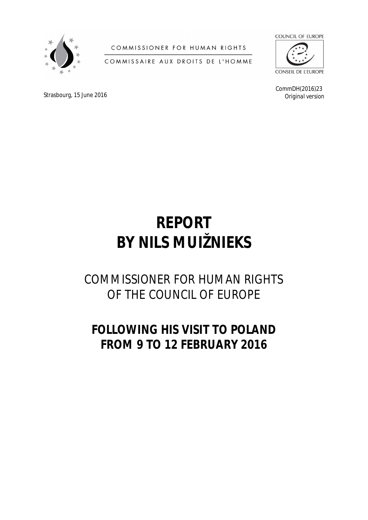

COMMISSIONER FOR HUMAN RIGHTS

COMMISSAIRE AUX DROITS DE L'HOMME



**CONSEIL DE L'EUROPE** 

CommDH(2016)23 *Original version*

Strasbourg, 15 June 2016

# **REPORT BY NILS MUIŽNIEKS**

# COMMISSIONER FOR HUMAN RIGHTS OF THE COUNCIL OF EUROPE

# **FOLLOWING HIS VISIT TO POLAND FROM 9 TO 12 FEBRUARY 2016**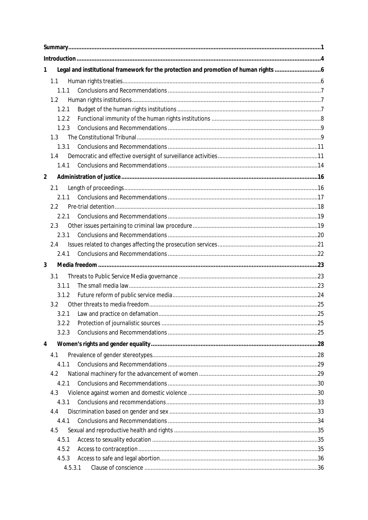| 1              | Legal and institutional framework for the protection and promotion of human rights |  |
|----------------|------------------------------------------------------------------------------------|--|
| 1.1            |                                                                                    |  |
| 1.1.1          |                                                                                    |  |
| 1.2            |                                                                                    |  |
| 1.2.1          |                                                                                    |  |
| 1.2.2          |                                                                                    |  |
| 1.2.3          |                                                                                    |  |
| 1.3            |                                                                                    |  |
| 1.3.1          |                                                                                    |  |
| 1.4            |                                                                                    |  |
| 1.4.1          |                                                                                    |  |
| $\overline{2}$ |                                                                                    |  |
| 2.1            |                                                                                    |  |
| 2.1.1          |                                                                                    |  |
| 2.2            |                                                                                    |  |
| 2.2.1          |                                                                                    |  |
| 2.3            |                                                                                    |  |
| 2.3.1          |                                                                                    |  |
| 2.4            |                                                                                    |  |
| 2.4.1          |                                                                                    |  |
| 3              |                                                                                    |  |
| 3.1            |                                                                                    |  |
| 3.1.1          |                                                                                    |  |
|                |                                                                                    |  |
| 3.1.2          |                                                                                    |  |
| 3.2            |                                                                                    |  |
| 3.2.1          |                                                                                    |  |
| 3.2.2          |                                                                                    |  |
| 3.2.3          |                                                                                    |  |
| 4              |                                                                                    |  |
|                |                                                                                    |  |
| 4.1            |                                                                                    |  |
| 4.1.1          |                                                                                    |  |
| 4.2<br>4.2.1   |                                                                                    |  |
| 4.3            |                                                                                    |  |
| 4.3.1          |                                                                                    |  |
| 4.4            |                                                                                    |  |
| 4.4.1          |                                                                                    |  |
| 4.5            |                                                                                    |  |
| 4.5.1          |                                                                                    |  |
| 4.5.2          |                                                                                    |  |
| 4.5.3          |                                                                                    |  |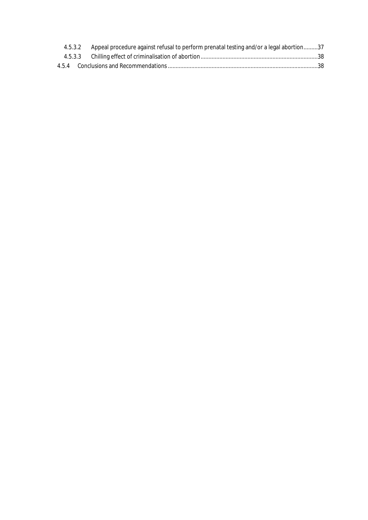|  | 4.5.3.2 Appeal procedure against refusal to perform prenatal testing and/or a legal abortion37 |  |
|--|------------------------------------------------------------------------------------------------|--|
|  |                                                                                                |  |
|  | 4.5.4 Conclusions and Recommendations ……………………………………………………………………………………………38                    |  |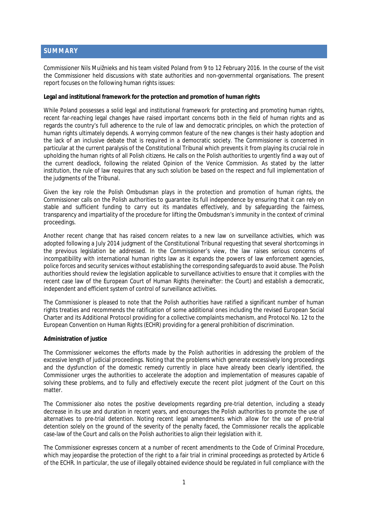# <span id="page-3-0"></span>**SUMMARY**

Commissioner Nils Muižnieks and his team visited Poland from 9 to 12 February 2016. In the course of the visit the Commissioner held discussions with state authorities and non-governmental organisations. The present report focuses on the following human rights issues:

**Legal and institutional framework for the protection and promotion of human rights** 

While Poland possesses a solid legal and institutional framework for protecting and promoting human rights, recent far-reaching legal changes have raised important concerns both in the field of human rights and as regards the country's full adherence to the rule of law and democratic principles, on which the protection of human rights ultimately depends. A worrying common feature of the new changes is their hasty adoption and the lack of an inclusive debate that is required in a democratic society. The Commissioner is concerned in particular at the current paralysis of the Constitutional Tribunal which prevents it from playing its crucial role in upholding the human rights of all Polish citizens. He calls on the Polish authorities to urgently find a way out of the current deadlock, following the related Opinion of the Venice Commission. As stated by the latter institution, the rule of law requires that any such solution be based on the respect and full implementation of the judgments of the Tribunal.

Given the key role the Polish Ombudsman plays in the protection and promotion of human rights, the Commissioner calls on the Polish authorities to guarantee its full independence by ensuring that it can rely on stable and sufficient funding to carry out its mandates effectively, and by safeguarding the fairness, transparency and impartiality of the procedure for lifting the Ombudsman's immunity in the context of criminal proceedings.

Another recent change that has raised concern relates to a new law on surveillance activities, which was adopted following a July 2014 judgment of the Constitutional Tribunal requesting that several shortcomings in the previous legislation be addressed. In the Commissioner's view, the law raises serious concerns of incompatibility with international human rights law as it expands the powers of law enforcement agencies, police forces and security services without establishing the corresponding safeguards to avoid abuse. The Polish authorities should review the legislation applicable to surveillance activities to ensure that it complies with the recent case law of the European Court of Human Rights (hereinafter: the Court) and establish a democratic. independent and efficient system of control of surveillance activities.

The Commissioner is pleased to note that the Polish authorities have ratified a significant number of human rights treaties and recommends the ratification of some additional ones including the revised European Social Charter and its Additional Protocol providing for a collective complaints mechanism, and Protocol No. 12 to the European Convention on Human Rights (ECHR) providing for a general prohibition of discrimination.

#### **Administration of justice**

The Commissioner welcomes the efforts made by the Polish authorities in addressing the problem of the excessive length of judicial proceedings. Noting that the problems which generate excessively long proceedings and the dysfunction of the domestic remedy currently in place have already been clearly identified, the Commissioner urges the authorities to accelerate the adoption and implementation of measures capable of solving these problems, and to fully and effectively execute the recent pilot judgment of the Court on this matter.

The Commissioner also notes the positive developments regarding pre-trial detention, including a steady decrease in its use and duration in recent years, and encourages the Polish authorities to promote the use of alternatives to pre-trial detention. Noting recent legal amendments which allow for the use of pre-trial detention solely on the ground of the severity of the penalty faced, the Commissioner recalls the applicable case-law of the Court and calls on the Polish authorities to align their legislation with it.

The Commissioner expresses concern at a number of recent amendments to the Code of Criminal Procedure, which may jeopardise the protection of the right to a fair trial in criminal proceedings as protected by Article 6 of the ECHR. In particular, the use of illegally obtained evidence should be regulated in full compliance with the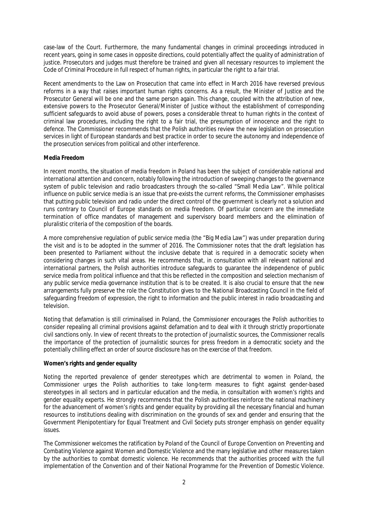case-law of the Court. Furthermore, the many fundamental changes in criminal proceedings introduced in recent years, going in some cases in opposite directions, could potentially affect the quality of administration of justice. Prosecutors and judges must therefore be trained and given all necessary resources to implement the Code of Criminal Procedure in full respect of human rights, in particular the right to a fair trial.

Recent amendments to the Law on Prosecution that came into effect in March 2016 have reversed previous reforms in a way that raises important human rights concerns. As a result, the Minister of Justice and the Prosecutor General will be one and the same person again. This change, coupled with the attribution of new, extensive powers to the Prosecutor General/Minister of Justice without the establishment of corresponding sufficient safeguards to avoid abuse of powers, poses a considerable threat to human rights in the context of criminal law procedures, including the right to a fair trial, the presumption of innocence and the right to defence. The Commissioner recommends that the Polish authorities review the new legislation on prosecution services in light of European standards and best practice in order to secure the autonomy and independence of the prosecution services from political and other interference.

#### **Media Freedom**

In recent months, the situation of media freedom in Poland has been the subject of considerable national and international attention and concern, notably following the introduction of sweeping changes to the governance system of public television and radio broadcasters through the so-called "Small Media Law". While political influence on public service media is an issue that pre-exists the current reforms, the Commissioner emphasises that putting public television and radio under the direct control of the government is clearly not a solution and runs contrary to Council of Europe standards on media freedom. Of particular concern are the immediate termination of office mandates of management and supervisory board members and the elimination of pluralistic criteria of the composition of the boards.

A more comprehensive regulation of public service media (the "Big Media Law") was under preparation during the visit and is to be adopted in the summer of 2016. The Commissioner notes that the draft legislation has been presented to Parliament without the inclusive debate that is required in a democratic society when considering changes in such vital areas. He recommends that, in consultation with all relevant national and international partners, the Polish authorities introduce safeguards to guarantee the independence of public service media from political influence and that this be reflected in the composition and selection mechanism of any public service media governance institution that is to be created. It is also crucial to ensure that the new arrangements fully preserve the role the Constitution gives to the National Broadcasting Council in the field of safeguarding freedom of expression, the right to information and the public interest in radio broadcasting and television.

Noting that defamation is still criminalised in Poland, the Commissioner encourages the Polish authorities to consider repealing all criminal provisions against defamation and to deal with it through strictly proportionate civil sanctions only. In view of recent threats to the protection of journalistic sources, the Commissioner recalls the importance of the protection of journalistic sources for press freedom in a democratic society and the potentially chilling effect an order of source disclosure has on the exercise of that freedom.

#### **Women's rights and gender equality**

Noting the reported prevalence of gender stereotypes which are detrimental to women in Poland, the Commissioner urges the Polish authorities to take long-term measures to fight against gender-based stereotypes in all sectors and in particular education and the media, in consultation with women's rights and gender equality experts. He strongly recommends that the Polish authorities reinforce the national machinery for the advancement of women's rights and gender equality by providing all the necessary financial and human resources to institutions dealing with discrimination on the grounds of sex and gender and ensuring that the Government Plenipotentiary for Equal Treatment and Civil Society puts stronger emphasis on gender equality issues.

The Commissioner welcomes the ratification by Poland of the Council of Europe Convention on Preventing and Combating Violence against Women and Domestic Violence and the many legislative and other measures taken by the authorities to combat domestic violence. He recommends that the authorities proceed with the full implementation of the Convention and of their National Programme for the Prevention of Domestic Violence.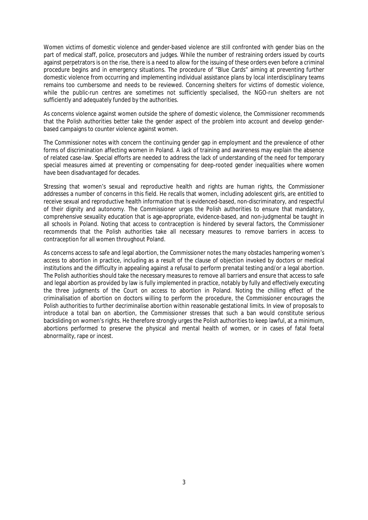Women victims of domestic violence and gender-based violence are still confronted with gender bias on the part of medical staff, police, prosecutors and judges. While the number of restraining orders issued by courts against perpetrators is on the rise, there is a need to allow for the issuing of these orders even before a criminal procedure begins and in emergency situations. The procedure of "Blue Cards" aiming at preventing further domestic violence from occurring and implementing individual assistance plans by local interdisciplinary teams remains too cumbersome and needs to be reviewed. Concerning shelters for victims of domestic violence, while the public-run centres are sometimes not sufficiently specialised, the NGO-run shelters are not sufficiently and adequately funded by the authorities.

As concerns violence against women outside the sphere of domestic violence, the Commissioner recommends that the Polish authorities better take the gender aspect of the problem into account and develop genderbased campaigns to counter violence against women.

The Commissioner notes with concern the continuing gender gap in employment and the prevalence of other forms of discrimination affecting women in Poland. A lack of training and awareness may explain the absence of related case-law. Special efforts are needed to address the lack of understanding of the need for temporary special measures aimed at preventing or compensating for deep-rooted gender inequalities where women have been disadvantaged for decades.

Stressing that women's sexual and reproductive health and rights are human rights, the Commissioner addresses a number of concerns in this field. He recalls that women, including adolescent girls, are entitled to receive sexual and reproductive health information that is evidenced-based, non-discriminatory, and respectful of their dignity and autonomy. The Commissioner urges the Polish authorities to ensure that mandatory, comprehensive sexuality education that is age-appropriate, evidence-based, and non-judgmental be taught in all schools in Poland. Noting that access to contraception is hindered by several factors, the Commissioner recommends that the Polish authorities take all necessary measures to remove barriers in access to contraception for all women throughout Poland.

As concerns access to safe and legal abortion, the Commissioner notes the many obstacles hampering women's access to abortion in practice, including as a result of the clause of objection invoked by doctors or medical institutions and the difficulty in appealing against a refusal to perform prenatal testing and/or a legal abortion. The Polish authorities should take the necessary measures to remove all barriers and ensure that access to safe and legal abortion as provided by law is fully implemented in practice, notably by fully and effectively executing the three judgments of the Court on access to abortion in Poland. Noting the chilling effect of the criminalisation of abortion on doctors willing to perform the procedure, the Commissioner encourages the Polish authorities to further decriminalise abortion within reasonable gestational limits. In view of proposals to introduce a total ban on abortion, the Commissioner stresses that such a ban would constitute serious backsliding on women's rights. He therefore strongly urges the Polish authorities to keep lawful, at a minimum, abortions performed to preserve the physical and mental health of women, or in cases of fatal foetal abnormality, rape or incest.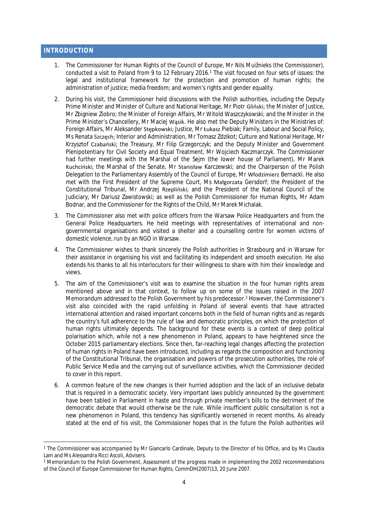#### <span id="page-6-0"></span>**INTRODUCTION**

- 1. The Commissioner for Human Rights of the Council of Europe, Mr Nils Muižnieks (the Commissioner), conducted a visit to Poland from 9 to 12 February 2016.<sup>1</sup> The visit focused on four sets of issues: the legal and institutional framework for the protection and promotion of human rights; the administration of justice; media freedom; and women's rights and gender equality.
- 2. During his visit, the Commissioner held discussions with the Polish authorities, including the Deputy Prime Minister and Minister of Culture and National Heritage, Mr Piotr Gliński; the Minister of Justice, Mr Zbigniew Ziobro; the Minister of Foreign Affairs, Mr Witold Waszczykowski; and the Minister in the Prime Minister's Chancellery, Mr Maciej Wąsik. He also met the Deputy Ministers in the Ministries of: Foreign Affairs, Mr Aleksander Stępkowski; Justice, Mr Łukasz Piebiak; Family, Labour and Social Policy, Ms Renata Szczęch; Interior and Administration, Mr Tomasz Zdzikot; Culture and National Heritage, Mr Krzysztof Czabański; the Treasury, Mr Filip Grzegorczyk; and the Deputy Minister and Government Plenipotentiary for Civil Society and Equal Treatment, Mr Wojciech Kaczmarczyk. The Commissioner had further meetings with the Marshal of the Sejm (the lower house of Parliament), Mr Marek Kuchciński; the Marshal of the Senate, Mr Stanisław Karczewski; and the Chairperson of the Polish Delegation to the Parliamentary Assembly of the Council of Europe, Mr Włodzimierz Bernacki. He also met with the First President of the Supreme Court, Ms Małgorzata Gersdorf; the President of the Constitutional Tribunal, Mr Andrzej Rzepliński; and the President of the National Council of the Judiciary, Mr Dariusz Zawistowski; as well as the Polish Commissioner for Human Rights, Mr Adam Bodnar, and the Commissioner for the Rights of the Child, Mr Marek Michalak.
- 3. The Commissioner also met with police officers from the Warsaw Police Headquarters and from the General Police Headquarters. He held meetings with representatives of international and nongovernmental organisations and visited a shelter and a counselling centre for women victims of domestic violence, run by an NGO in Warsaw.
- 4. The Commissioner wishes to thank sincerely the Polish authorities in Strasbourg and in Warsaw for their assistance in organising his visit and facilitating its independent and smooth execution. He also extends his thanks to all his interlocutors for their willingness to share with him their knowledge and views.
- 5. The aim of the Commissioner's visit was to examine the situation in the four human rights areas mentioned above and in that context, to follow up on some of the issues raised in the 2007 Memorandum addressed to the Polish Government by his predecessor.<sup>2</sup> However, the Commissioner's visit also coincided with the rapid unfolding in Poland of several events that have attracted international attention and raised important concerns both in the field of human rights and as regards the country's full adherence to the rule of law and democratic principles, on which the protection of human rights ultimately depends. The background for these events is a context of deep political polarisation which, while not a new phenomenon in Poland, appears to have heightened since the October 2015 parliamentary elections. Since then, far-reaching legal changes affecting the protection of human rights in Poland have been introduced, including as regards the composition and functioning of the Constitutional Tribunal, the organisation and powers of the prosecution authorities, the role of Public Service Media and the carrying out of surveillance activities, which the Commissioner decided to cover in this report.
- 6. A common feature of the new changes is their hurried adoption and the lack of an inclusive debate that is required in a democratic society. Very important laws publicly announced by the government have been tabled in Parliament in haste and through private member's bills to the detriment of the democratic debate that would otherwise be the rule. While insufficient public consultation is not a new phenomenon in Poland, this tendency has significantly worsened in recent months. As already stated at the end of his visit, the Commissioner hopes that in the future the Polish authorities will

<sup>1</sup> The Commissioner was accompanied by Mr Giancarlo Cardinale, Deputy to the Director of his Office, and by Ms Claudia Lam and Ms Alessandra Ricci Ascoli, Advisers.

<sup>&</sup>lt;sup>2</sup> Memorandum to the Polish Government, Assessment of the progress made in implementing the 2002 recommendations of the Council of Europe Commissioner for Human Rights, CommDH(2007)13, 20 June 2007.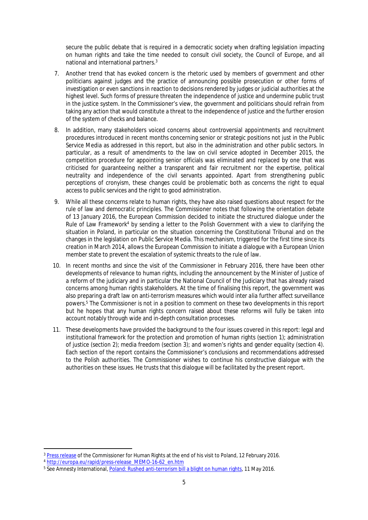secure the public debate that is required in a democratic society when drafting legislation impacting on human rights and take the time needed to consult civil society, the Council of Europe, and all national and international partners.<sup>3</sup>

- 7. Another trend that has evoked concern is the rhetoric used by members of government and other politicians against judges and the practice of announcing possible prosecution or other forms of investigation or even sanctions in reaction to decisions rendered by judges or judicial authorities at the highest level. Such forms of pressure threaten the independence of justice and undermine public trust in the justice system. In the Commissioner's view, the government and politicians should refrain from taking any action that would constitute a threat to the independence of justice and the further erosion of the system of checks and balance.
- 8. In addition, many stakeholders voiced concerns about controversial appointments and recruitment procedures introduced in recent months concerning senior or strategic positions not just in the Public Service Media as addressed in this report, but also in the administration and other public sectors. In particular, as a result of amendments to the law on civil service adopted in December 2015, the competition procedure for appointing senior officials was eliminated and replaced by one that was criticised for guaranteeing neither a transparent and fair recruitment nor the expertise, political neutrality and independence of the civil servants appointed. Apart from strengthening public perceptions of cronyism, these changes could be problematic both as concerns the right to equal access to public services and the right to good administration.
- 9. While all these concerns relate to human rights, they have also raised questions about respect for the rule of law and democratic principles. The Commissioner notes that following the orientation debate of 13 January 2016, the European Commission decided to initiate the structured dialogue under the Rule of Law Framework<sup>4</sup> by sending a letter to the Polish Government with a view to clarifying the situation in Poland, in particular on the situation concerning the Constitutional Tribunal and on the changes in the legislation on Public Service Media. This mechanism, triggered for the first time since its creation in March 2014, allows the European Commission to initiate a dialogue with a European Union member state to prevent the escalation of systemic threats to the rule of law.
- 10. In recent months and since the visit of the Commissioner in February 2016, there have been other developments of relevance to human rights, including the announcement by the Minister of Justice of a reform of the judiciary and in particular the National Council of the Judiciary that has already raised concerns among human rights stakeholders. At the time of finalising this report, the government was also preparing a draft law on anti-terrorism measures which would *inter alia* further affect surveillance powers.<sup>5</sup> The Commissioner is not in a position to comment on these two developments in this report but he hopes that any human rights concern raised about these reforms will fully be taken into account notably through wide and in-depth consultation processes.
- 11. These developments have provided the background to the four issues covered in this report: legal and institutional framework for the protection and promotion of human rights (section 1); administration of justice (section 2); media freedom (section 3); and women's rights and gender equality (section 4). Each section of the report contains the Commissioner's conclusions and recommendations addressed to the Polish authorities. The Commissioner wishes to continue his constructive dialogue with the authorities on these issues. He trusts that this dialogue will be facilitated by the present report.

<sup>3</sup> [Press release](http://www.coe.int/en/web/commissioner/country-report/poland/-/asset_publisher/rgDH7Zss0nLx/content/poland-slow-down-and-consult-on-legislation-to-avoid-human-rights-backsliding?inheritRedirect=false&redirect=http%3A%2F%2Fwww.coe.int%2Fen%2Fweb%2Fcommissioner%2Fcountry-report%2Fpoland%3Fp_p_id%3D101_INSTANCE_rgDH7Zss0nLx%26p_p_lifecycle%3D0%26p_p_state%3Dnormal%26p_p_mode%3Dview%26p_p_col_id%3Dcolumn-1%26p_p_col_pos%3D1%26p_p_col_count%3D2) of the Commissioner for Human Rights at the end of his visit to Poland, 12 February 2016.

<sup>4</sup> [http://europa.eu/rapid/press-release\\_MEMO-16-62\\_en.htm](http://europa.eu/rapid/press-release_MEMO-16-62_en.htm)

<sup>&</sup>lt;sup>5</sup> See Amnesty International, <u>[Poland: Rushed anti-terrorism bill a blight on human rights](http://www.amnesty.ca/news/poland-rushed-anti-terrorism-bill-blight-human-rights),</u> 11 May 2016.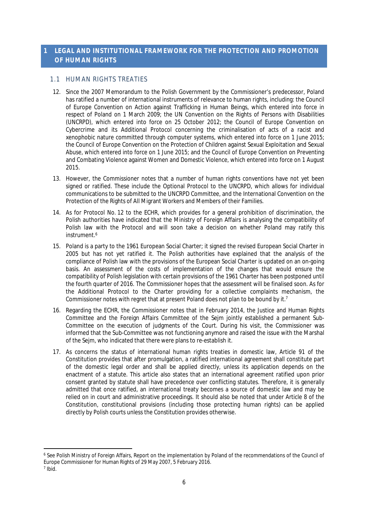# <span id="page-8-0"></span>**1 LEGAL AND INSTITUTIONAL FRAMEWORK FOR THE PROTECTION AND PROMOTION OF HUMAN RIGHTS**

# <span id="page-8-1"></span>1.1 HUMAN RIGHTS TREATIES

- 12. Since the 2007 Memorandum to the Polish Government by the Commissioner's predecessor, Poland has ratified a number of international instruments of relevance to human rights, including: the Council of Europe Convention on Action against Trafficking in Human Beings, which entered into force in respect of Poland on 1 March 2009; the UN Convention on the Rights of Persons with Disabilities (UNCRPD), which entered into force on 25 October 2012; the Council of Europe Convention on Cybercrime and its Additional Protocol concerning the criminalisation of acts of a racist and xenophobic nature committed through computer systems, which entered into force on 1 June 2015; the Council of Europe Convention on the Protection of Children against Sexual Exploitation and Sexual Abuse, which entered into force on 1 June 2015; and the Council of Europe Convention on Preventing and Combating Violence against Women and Domestic Violence, which entered into force on 1 August 2015.
- 13. However, the Commissioner notes that a number of human rights conventions have not yet been signed or ratified. These include the Optional Protocol to the UNCRPD, which allows for individual communications to be submitted to the UNCRPD Committee, and the International Convention on the Protection of the Rights of All Migrant Workers and Members of their Families.
- 14. As for Protocol No. 12 to the ECHR, which provides for a general prohibition of discrimination, the Polish authorities have indicated that the Ministry of Foreign Affairs is analysing the compatibility of Polish law with the Protocol and will soon take a decision on whether Poland may ratify this instrument<sup>6</sup>
- 15. Poland is a party to the 1961 European Social Charter; it signed the revised European Social Charter in 2005 but has not yet ratified it. The Polish authorities have explained that the analysis of the compliance of Polish law with the provisions of the European Social Charter is updated on an on-going basis. An assessment of the costs of implementation of the changes that would ensure the compatibility of Polish legislation with certain provisions of the 1961 Charter has been postponed until the fourth quarter of 2016. The Commissioner hopes that the assessment will be finalised soon. As for the Additional Protocol to the Charter providing for a collective complaints mechanism, the Commissioner notes with regret that at present Poland does not plan to be bound by it.<sup>7</sup>
- 16. Regarding the ECHR, the Commissioner notes that in February 2014, the Justice and Human Rights Committee and the Foreign Affairs Committee of the Sejm jointly established a permanent Sub-Committee on the execution of judgments of the Court. During his visit, the Commissioner was informed that the Sub-Committee was not functioning anymore and raised the issue with the Marshal of the Sejm, who indicated that there were plans to re-establish it.
- 17. As concerns the status of international human rights treaties in domestic law, Article 91 of the Constitution provides that after promulgation, a ratified international agreement shall constitute part of the domestic legal order and shall be applied directly, unless its application depends on the enactment of a statute. This article also states that an international agreement ratified upon prior consent granted by statute shall have precedence over conflicting statutes. Therefore, it is generally admitted that once ratified, an international treaty becomes a source of domestic law and may be relied on in court and administrative proceedings. It should also be noted that under Article 8 of the Constitution, constitutional provisions (including those protecting human rights) can be applied directly by Polish courts unless the Constitution provides otherwise.

<sup>6</sup> See Polish Ministry of Foreign Affairs, Report on the implementation by Poland of the recommendations of the Council of Europe Commissioner for Human Rights of 29 May 2007, 5 February 2016.

<sup>7</sup> Ibid.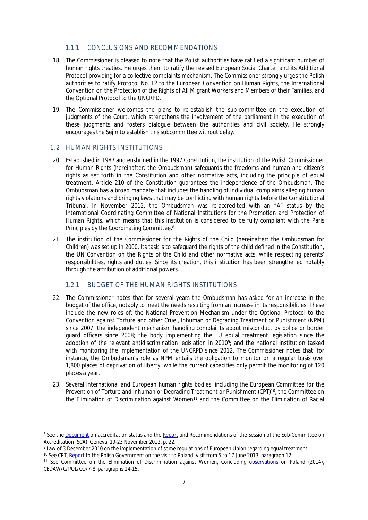# <span id="page-9-0"></span>1.1.1. CONCLUSIONS AND RECOMMENDATIONS

- 18. The Commissioner is pleased to note that the Polish authorities have ratified a significant number of human rights treaties. He urges them to ratify the revised European Social Charter and its Additional Protocol providing for a collective complaints mechanism. The Commissioner strongly urges the Polish authorities to ratify Protocol No. 12 to the European Convention on Human Rights, the International Convention on the Protection of the Rights of All Migrant Workers and Members of their Families, and the Optional Protocol to the UNCRPD.
- 19. The Commissioner welcomes the plans to re-establish the sub-committee on the execution of judgments of the Court, which strengthens the involvement of the parliament in the execution of these judgments and fosters dialogue between the authorities and civil society. He strongly encourages the Sejm to establish this subcommittee without delay.

## <span id="page-9-1"></span>1.2 HUMAN RIGHTS INSTITUTIONS

- 20. Established in 1987 and enshrined in the 1997 Constitution, the institution of the Polish Commissioner for Human Rights (hereinafter: the Ombudsman) safeguards the freedoms and human and citizen's rights as set forth in the Constitution and other normative acts, including the principle of equal treatment. Article 210 of the Constitution guarantees the independence of the Ombudsman. The Ombudsman has a broad mandate that includes the handling of individual complaints alleging human rights violations and bringing laws that may be conflicting with human rights before the Constitutional Tribunal. In November 2012, the Ombudsman was re-accredited with an "A" status by the International Coordinating Committee of National Institutions for the Promotion and Protection of Human Rights, which means that this institution is considered to be fully compliant with the Paris Principles by the Coordinating Committee.<sup>8</sup>
- 21. The institution of the Commissioner for the Rights of the Child (hereinafter: the Ombudsman for Children) was set up in 2000. Its task is to safeguard the rights of the child defined in the Constitution, the UN Convention on the Rights of the Child and other normative acts, while respecting parents' responsibilities, rights and duties. Since its creation, this institution has been strengthened notably through the attribution of additional powers.

#### <span id="page-9-2"></span>1.2.1 BUDGET OF THE HUMAN RIGHTS INSTITUTIONS

- 22. The Commissioner notes that for several years the Ombudsman has asked for an increase in the budget of the office, notably to meet the needs resulting from an increase in its responsibilities. These include the new roles of: the National Prevention Mechanism under the Optional Protocol to the Convention against Torture and other Cruel, Inhuman or Degrading Treatment or Punishment (NPM) since 2007; the independent mechanism handling complaints about misconduct by police or border guard officers since 2008; the body implementing the EU equal treatment legislation since the adoption of the relevant antidiscrimination legislation in 2010<sup>9</sup> ; and the national institution tasked with monitoring the implementation of the UNCRPD since 2012. The Commissioner notes that, for instance, the Ombudsman's role as NPM entails the obligation to monitor on a regular basis over 1,800 places of deprivation of liberty, while the current capacities only permit the monitoring of 120 places a year.
- 23. Several international and European human rights bodies, including the European Committee for the Prevention of Torture and Inhuman or Degrading Treatment or Punishment (CPT)<sup>10</sup>, the Committee on the Elimination of Discrimination against Women<sup>11</sup> and the Committee on the Elimination of Racial

<sup>&</sup>lt;sup>8</sup> See the <u>[Document](http://nhri.ohchr.org/EN/AboutUs/ICCAccreditation/Documents/Chart%20of%20the%20Status%20of%20NHRIs%20%2823%20May%202014%29.pdf)</u> on accreditation status and the <u>Report</u> and Recommendations of the Session of the Sub-Committee on Accreditation (SCA), Geneva, 19-23 November 2012, p. 22.

<sup>9</sup> Law of 3 December 2010 on the implementation of some regulations of European Union regarding equal treatment.

<sup>&</sup>lt;sup>10</sup> See CPT, [Report](http://www.cpt.coe.int/documents/pol/2014-21-inf-eng.pdf) to the Polish Government on the visit to Poland, visit from 5 to 17 June 2013, paragraph 12.

<sup>11</sup> See Committee on the Elimination of Discrimination against Women, Concluding [observations](http://tbinternet.ohchr.org/_layouts/treatybodyexternal/Download.aspx?symbolno=CEDAW/C/POL/CO/7-8&Lang=En) on Poland (2014), CEDAW/C/POL/CO/7-8, paragraphs 14-15.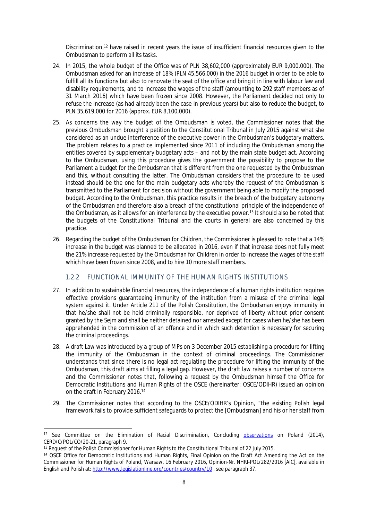Discrimination,<sup>12</sup> have raised in recent years the issue of insufficient financial resources given to the Ombudsman to perform all its tasks.

- 24. In 2015, the whole budget of the Office was of PLN 38,602,000 (approximately EUR 9,000,000). The Ombudsman asked for an increase of 18% (PLN 45,566,000) in the 2016 budget in order to be able to fulfill all its functions but also to renovate the seat of the office and bring it in line with labour law and disability requirements, and to increase the wages of the staff (amounting to 292 staff members as of 31 March 2016) which have been frozen since 2008. However, the Parliament decided not only to refuse the increase (as had already been the case in previous years) but also to reduce the budget, to PLN 35,619,000 for 2016 (approx. EUR 8,100,000).
- 25. As concerns the way the budget of the Ombudsman is voted, the Commissioner notes that the previous Ombudsman brought a petition to the Constitutional Tribunal in July 2015 against what she considered as an undue interference of the executive power in the Ombudsman's budgetary matters. The problem relates to a practice implemented since 2011 of including the Ombudsman among the entities covered by supplementary budgetary acts – and not by the main state budget act. According to the Ombudsman, using this procedure gives the government the possibility to propose to the Parliament a budget for the Ombudsman that is different from the one requested by the Ombudsman and this, without consulting the latter. The Ombudsman considers that the procedure to be used instead should be the one for the main budgetary acts whereby the request of the Ombudsman is transmitted to the Parliament for decision without the government being able to modify the proposed budget. According to the Ombudsman, this practice results in the breach of the budgetary autonomy of the Ombudsman and therefore also a breach of the constitutional principle of the independence of the Ombudsman, as it allows for an interference by the executive power.<sup>13</sup> It should also be noted that the budgets of the Constitutional Tribunal and the courts in general are also concerned by this practice.
- 26. Regarding the budget of the Ombudsman for Children, the Commissioner is pleased to note that a 14% increase in the budget was planned to be allocated in 2016, even if that increase does not fully meet the 21% increase requested by the Ombudsman for Children in order to increase the wages of the staff which have been frozen since 2008, and to hire 10 more staff members.

#### <span id="page-10-0"></span>1.2.2 FUNCTIONAL IMMUNITY OF THE HUMAN RIGHTS INSTITUTIONS

- 27. In addition to sustainable financial resources, the independence of a human rights institution requires effective provisions guaranteeing immunity of the institution from a misuse of the criminal legal system against it. Under Article 211 of the Polish Constitution, the Ombudsman enjoys immunity in that he/she shall not be held criminally responsible, nor deprived of liberty without prior consent granted by the Sejm and shall be neither detained nor arrested except for cases when he/she has been apprehended in the commission of an offence and in which such detention is necessary for securing the criminal proceedings.
- 28. A draft Law was introduced by a group of MPs on 3 December 2015 establishing a procedure for lifting the immunity of the Ombudsman in the context of criminal proceedings. The Commissioner understands that since there is no legal act regulating the procedure for lifting the immunity of the Ombudsman, this draft aims at filling a legal gap. However, the draft law raises a number of concerns and the Commissioner notes that, following a request by the Ombudsman himself the Office for Democratic Institutions and Human Rights of the OSCE (hereinafter: OSCE/ODIHR) issued an opinion on the draft in February 2016.<sup>14</sup>
- 29. The Commissioner notes that according to the OSCE/ODIHR's Opinion, "the existing Polish legal framework fails to provide sufficient safeguards to protect the [Ombudsman] and his or her staff from

<sup>&</sup>lt;sup>12</sup> See Committee on the Elimination of Racial Discrimination, Concluding [observations](http://tbinternet.ohchr.org/_layouts/treatybodyexternal/Download.aspx?symbolno=CERD/C/POL/CO/20-21&Lang=En) on Poland (2014), CERD/C/POL/CO/20-21, paragraph 9.

<sup>&</sup>lt;sup>13</sup> Request of the Polish Commissioner for Human Rights to the Constitutional Tribunal of 22 July 2015.

<sup>14</sup> OSCE Office for Democratic Institutions and Human Rights, Final Opinion on the Draft Act Amending the Act on the Commissioner for Human Rights of Poland, Warsaw, 16 February 2016, Opinion-Nr. NHRI-POL/282/2016 [AlC], available in English and Polish at: <http://www.legislationline.org/countries/country/10> , see paragraph 37.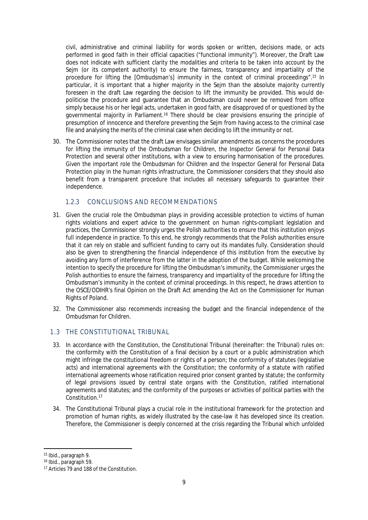civil, administrative and criminal liability for words spoken or written, decisions made, or acts performed in good faith in their official capacities ("functional immunity"). Moreover, the Draft Law does not indicate with sufficient clarity the modalities and criteria to be taken into account by the Sejm (or its competent authority) to ensure the fairness, transparency and impartiality of the procedure for lifting the [Ombudsman's] immunity in the context of criminal proceedings".<sup>15</sup> In particular, it is important that a higher majority in the Seim than the absolute majority currently foreseen in the draft Law regarding the decision to lift the immunity be provided. This would depoliticise the procedure and guarantee that an Ombudsman could never be removed from office simply because his or her legal acts, undertaken in good faith, are disapproved of or questioned by the governmental majority in Parliament.<sup>16</sup> There should be clear provisions ensuring the principle of presumption of innocence and therefore preventing the Sejm from having access to the criminal case file and analysing the merits of the criminal case when deciding to lift the immunity or not.

30. The Commissioner notes that the draft Law envisages similar amendments as concerns the procedures for lifting the immunity of the Ombudsman for Children, the Inspector General for Personal Data Protection and several other institutions, with a view to ensuring harmonisation of the procedures. Given the important role the Ombudsman for Children and the Inspector General for Personal Data Protection play in the human rights infrastructure, the Commissioner considers that they should also benefit from a transparent procedure that includes all necessary safeguards to guarantee their independence.

# <span id="page-11-0"></span>1.2.3 CONCLUSIONS AND RECOMMENDATIONS

- 31. Given the crucial role the Ombudsman plays in providing accessible protection to victims of human rights violations and expert advice to the government on human rights-compliant legislation and practices, the Commissioner strongly urges the Polish authorities to ensure that this institution enjoys full independence in practice. To this end, he strongly recommends that the Polish authorities ensure that it can rely on stable and sufficient funding to carry out its mandates fully. Consideration should also be given to strengthening the financial independence of this institution from the executive by avoiding any form of interference from the latter in the adoption of the budget. While welcoming the intention to specify the procedure for lifting the Ombudsman's immunity, the Commissioner urges the Polish authorities to ensure the fairness, transparency and impartiality of the procedure for lifting the Ombudsman's immunity in the context of criminal proceedings. In this respect, he draws attention to the OSCE/ODIHR's final Opinion on the Draft Act amending the Act on the Commissioner for Human Rights of Poland.
- 32. The Commissioner also recommends increasing the budget and the financial independence of the Ombudsman for Children.

# <span id="page-11-1"></span>1.3 THE CONSTITUTIONAL TRIBUNAL

- 33. In accordance with the Constitution, the Constitutional Tribunal (hereinafter: the Tribunal) rules on: the conformity with the Constitution of a final decision by a court or a public administration which might infringe the constitutional freedom or rights of a person; the conformity of statutes (legislative acts) and international agreements with the Constitution; the conformity of a statute with ratified international agreements whose ratification required prior consent granted by statute; the conformity of legal provisions issued by central state organs with the Constitution, ratified international agreements and statutes; and the conformity of the purposes or activities of political parties with the Constitution.<sup>17</sup>
- 34. The Constitutional Tribunal plays a crucial role in the institutional framework for the protection and promotion of human rights, as widely illustrated by the case-law it has developed since its creation. Therefore, the Commissioner is deeply concerned at the crisis regarding the Tribunal which unfolded

<sup>15</sup> Ibid., paragraph 9.

<sup>16</sup> Ibid., paragraph 59.

<sup>&</sup>lt;sup>17</sup> Articles 79 and 188 of the Constitution.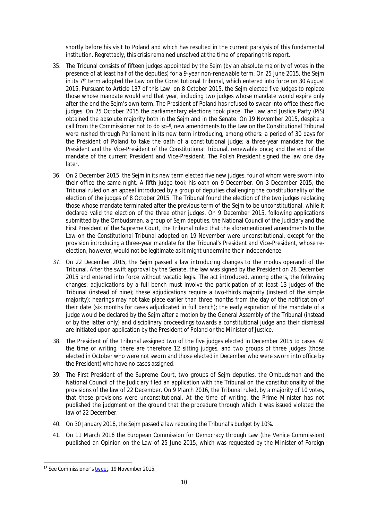shortly before his visit to Poland and which has resulted in the current paralysis of this fundamental institution. Regrettably, this crisis remained unsolved at the time of preparing this report.

- 35. The Tribunal consists of fifteen judges appointed by the Sejm (by an absolute majority of votes in the presence of at least half of the deputies) for a 9-year non-renewable term. On 25 June 2015, the Sejm in its 7<sup>th</sup> term adopted the Law on the Constitutional Tribunal, which entered into force on 30 August 2015. Pursuant to Article 137 of this Law, on 8 October 2015, the Sejm elected five judges to replace those whose mandate would end that year, including two judges whose mandate would expire only after the end the Sejm's own term. The President of Poland has refused to swear into office these five judges. On 25 October 2015 the parliamentary elections took place. The Law and Justice Party (PiS) obtained the absolute majority both in the Sejm and in the Senate. On 19 November 2015, despite a call from the Commissioner not to do so<sup>18</sup>, new amendments to the Law on the Constitutional Tribunal were rushed through Parliament in its new term introducing, among others: a period of 30 days for the President of Poland to take the oath of a constitutional judge; a three-year mandate for the President and the Vice-President of the Constitutional Tribunal, renewable once; and the end of the mandate of the current President and Vice-President. The Polish President signed the law one day later.
- 36. On 2 December 2015, the Sejm in its new term elected five new judges, four of whom were sworn into their office the same night. A fifth judge took his oath on 9 December. On 3 December 2015, the Tribunal ruled on an appeal introduced by a group of deputies challenging the constitutionality of the election of the judges of 8 October 2015. The Tribunal found the election of the two judges replacing those whose mandate terminated after the previous term of the Sejm to be unconstitutional, while it declared valid the election of the three other judges. On 9 December 2015, following applications submitted by the Ombudsman, a group of Sejm deputies, the National Council of the Judiciary and the First President of the Supreme Court, the Tribunal ruled that the aforementioned amendments to the Law on the Constitutional Tribunal adopted on 19 November were unconstitutional, except for the provision introducing a three-year mandate for the Tribunal's President and Vice-President, whose reelection, however, would not be legitimate as it might undermine their independence.
- 37. On 22 December 2015, the Sejm passed a law introducing changes to the modus operandi of the Tribunal. After the swift approval by the Senate, the law was signed by the President on 28 December 2015 and entered into force without *vacatio legis*. The act introduced, among others, the following changes: adjudications by a full bench must involve the participation of at least 13 judges of the Tribunal (instead of nine); these adjudications require a two-thirds majority (instead of the simple majority); hearings may not take place earlier than three months from the day of the notification of their date (six months for cases adjudicated in full bench); the early expiration of the mandate of a judge would be declared by the Sejm after a motion by the General Assembly of the Tribunal (instead of by the latter only) and disciplinary proceedings towards a constitutional judge and their dismissal are initiated upon application by the President of Poland or the Minister of Justice.
- 38. The President of the Tribunal assigned two of the five judges elected in December 2015 to cases. At the time of writing, there are therefore 12 sitting judges, and two groups of three judges (those elected in October who were not sworn and those elected in December who were sworn into office by the President) who have no cases assigned.
- 39. The First President of the Supreme Court, two groups of Sejm deputies, the Ombudsman and the National Council of the Judiciary filed an application with the Tribunal on the constitutionality of the provisions of the law of 22 December. On 9 March 2016, the Tribunal ruled, by a majority of 10 votes, that these provisions were unconstitutional. At the time of writing, the Prime Minister has not published the judgment on the ground that the procedure through which it was issued violated the law of 22 December.
- 40. On 30 January 2016, the Sejm passed a law reducing the Tribunal's budget by 10%.
- 41. On 11 March 2016 the European Commission for Democracy through Law (the Venice Commission) published an Opinion on the Law of 25 June 2015, which was requested by the Minister of Foreign

<sup>18</sup> See Commissioner's [tweet](https://twitter.com/commissionerhr/status/667348615233310721), 19 November 2015.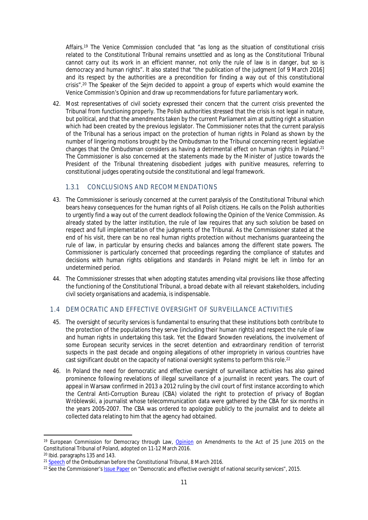Affairs.<sup>19</sup> The Venice Commission concluded that "as long as the situation of constitutional crisis related to the Constitutional Tribunal remains unsettled and as long as the Constitutional Tribunal cannot carry out its work in an efficient manner, not only the rule of law is in danger, but so is democracy and human rights". It also stated that "the publication of the judgment [of 9 March 2016] and its respect by the authorities are a precondition for finding a way out of this constitutional crisis".<sup>20</sup> The Speaker of the Sejm decided to appoint a group of experts which would examine the Venice Commission's Opinion and draw up recommendations for future parliamentary work.

42. Most representatives of civil society expressed their concern that the current crisis prevented the Tribunal from functioning properly. The Polish authorities stressed that the crisis is not legal in nature, but political, and that the amendments taken by the current Parliament aim at putting right a situation which had been created by the previous legislator. The Commissioner notes that the current paralysis of the Tribunal has a serious impact on the protection of human rights in Poland as shown by the number of lingering motions brought by the Ombudsman to the Tribunal concerning recent legislative changes that the Ombudsman considers as having a detrimental effect on human rights in Poland.<sup>21</sup> The Commissioner is also concerned at the statements made by the Minister of Justice towards the President of the Tribunal threatening disobedient judges with punitive measures, referring to constitutional judges operating outside the constitutional and legal framework.

#### <span id="page-13-0"></span>1.3.1 CONCLUSIONS AND RECOMMENDATIONS

- 43. The Commissioner is seriously concerned at the current paralysis of the Constitutional Tribunal which bears heavy consequences for the human rights of all Polish citizens. He calls on the Polish authorities to urgently find a way out of the current deadlock following the Opinion of the Venice Commission. As already stated by the latter institution, the rule of law requires that any such solution be based on respect and full implementation of the judgments of the Tribunal. As the Commissioner stated at the end of his visit, there can be no real human rights protection without mechanisms guaranteeing the rule of law, in particular by ensuring checks and balances among the different state powers. The Commissioner is particularly concerned that proceedings regarding the compliance of statutes and decisions with human rights obligations and standards in Poland might be left in limbo for an undetermined period.
- 44. The Commissioner stresses that when adopting statutes amending vital provisions like those affecting the functioning of the Constitutional Tribunal, a broad debate with all relevant stakeholders, including civil society organisations and academia, is indispensable.

# <span id="page-13-1"></span>1.4 DEMOCRATIC AND EFFECTIVE OVERSIGHT OF SURVEILLANCE ACTIVITIES

- 45. The oversight of security services is fundamental to ensuring that these institutions both contribute to the protection of the populations they serve (including their human rights) and respect the rule of law and human rights in undertaking this task. Yet the Edward Snowden revelations, the involvement of some European security services in the secret detention and extraordinary rendition of terrorist suspects in the past decade and ongoing allegations of other impropriety in various countries have cast significant doubt on the capacity of national oversight systems to perform this role.<sup>22</sup>
- 46. In Poland the need for democratic and effective oversight of surveillance activities has also gained prominence following revelations of illegal surveillance of a journalist in recent years. The court of appeal in Warsaw confirmed in 2013 a 2012 ruling by the civil court of first instance according to which the Central Anti-Corruption Bureau (CBA) violated the right to protection of privacy of Bogdan Wróblewski, a journalist whose telecommunication data were gathered by the CBA for six months in the years 2005-2007. The CBA was ordered to apologize publicly to the journalist and to delete all collected data relating to him that the agency had obtained.

<sup>&</sup>lt;sup>19</sup> European Commission for Democracy through Law, [Opinion](http://www.venice.coe.int/webforms/documents/?pdf=CDL-AD(2016)001-e) on Amendments to the Act of 25 June 2015 on the Constitutional Tribunal of Poland, adopted on 11-12 March 2016.

<sup>20</sup> Ibid. paragraphs 135 and 143.

<sup>&</sup>lt;sup>21</sup> [Speech](https://www.rpo.gov.pl/en/content/fully-independent-and-efficient-constitutional-tribunal-guarantees-existence-real-rights-and) of the Ombudsman before the Constitutional Tribunal, 8 March 2016.

<sup>&</sup>lt;sup>22</sup> See the Commissioner's [Issue Paper](https://wcd.coe.int/ViewDoc.jsp?p=&Ref=CommDH/IssuePaper(2015)2&Language=lanAll&direct=true) on "Democratic and effective oversight of national security services", 2015.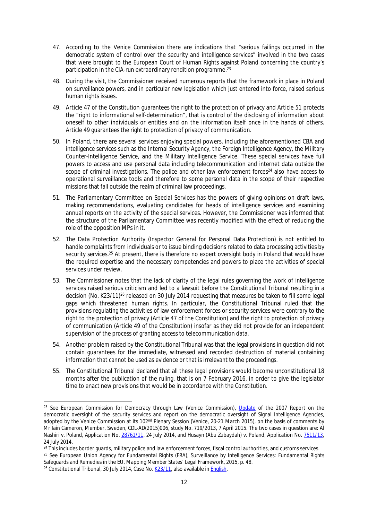- 47. According to the Venice Commission there are indications that "serious failings occurred in the democratic system of control over the security and intelligence services" involved in the two cases that were brought to the European Court of Human Rights against Poland concerning the country's participation in the CIA-run extraordinary rendition programme.<sup>23</sup>
- 48. During the visit, the Commissioner received numerous reports that the framework in place in Poland on surveillance powers, and in particular new legislation which just entered into force, raised serious human rights issues.
- 49. Article 47 of the Constitution guarantees the right to the protection of privacy and Article 51 protects the "right to informational self-determination", that is control of the disclosing of information about oneself to other individuals or entities and on the information itself once in the hands of others. Article 49 guarantees the right to protection of privacy of communication.
- 50. In Poland, there are several services enjoying special powers, including the aforementioned CBA and intelligence services such as the Internal Security Agency, the Foreign Intelligence Agency, the Military Counter-Intelligence Service, and the Military Intelligence Service. These special services have full powers to access and use personal data including telecommunication and internet data outside the scope of criminal investigations. The police and other law enforcement forces<sup>24</sup> also have access to operational surveillance tools and therefore to some personal data in the scope of their respective missions that fall outside the realm of criminal law proceedings.
- 51. The Parliamentary Committee on Special Services has the powers of giving opinions on draft laws, making recommendations, evaluating candidates for heads of intelligence services and examining annual reports on the activity of the special services. However, the Commissioner was informed that the structure of the Parliamentary Committee was recently modified with the effect of reducing the role of the opposition MPs in it.
- 52. The Data Protection Authority (Inspector General for Personal Data Protection) is not entitled to handle complaints from individuals or to issue binding decisions related to data processing activities by security services.<sup>25</sup> At present, there is therefore no expert oversight body in Poland that would have the required expertise and the necessary competencies and powers to place the activities of special services under review.
- 53. The Commissioner notes that the lack of clarity of the legal rules governing the work of intelligence services raised serious criticism and led to a lawsuit before the Constitutional Tribunal resulting in a decision (No. K23/11)<sup>26</sup> released on 30 July 2014 requesting that measures be taken to fill some legal gaps which threatened human rights. In particular, the Constitutional Tribunal ruled that the provisions regulating the activities of law enforcement forces or security services were contrary to the right to the protection of privacy (Article 47 of the Constitution) and the right to protection of privacy of communication (Article 49 of the Constitution) insofar as they did not provide for an independent supervision of the process of granting access to telecommunication data.
- 54. Another problem raised by the Constitutional Tribunal was that the legal provisions in question did not contain guarantees for the immediate, witnessed and recorded destruction of material containing information that cannot be used as evidence or that is irrelevant to the proceedings.
- 55. The Constitutional Tribunal declared that all these legal provisions would become unconstitutional 18 months after the publication of the ruling, that is on 7 February 2016, in order to give the legislator time to enact new provisions that would be in accordance with the Constitution.

<sup>&</sup>lt;sup>23</sup> See European Commission for Democracy through Law (Venice Commission), [Update](http://www.venice.coe.int/webforms/documents/default.aspx?pdffile=CDL-AD(2015)006-e) of the 2007 Report on the democratic oversight of the security services and report on the democratic oversight of Signal Intelligence Agencies, adopted by the Venice Commission at its 102<sup>nd</sup> Plenary Session (Venice, 20-21 March 2015), on the basis of comments by Mr Iain Cameron, Member, Sweden, CDL-AD(2015)006, study No. 719/2013, 7 April 2015. The two cases in question are: Al Nashiri v. Poland, Application No. [28761/11,](http://hudoc.echr.coe.int/eng?i=001-146044) 24 July 2014, and Husayn (Abu Zubaydah) v. Poland, Application No. [7511/13](http://hudoc.echr.coe.int/eng?i=001-146047), 24 July 2014.

<sup>&</sup>lt;sup>24</sup> This includes border guards, military police and law enforcement forces, fiscal control authorities, and customs services.

<sup>&</sup>lt;sup>25</sup> See European Union Agency for Fundamental Rights (FRA), Surveillance by Intelligence Services: Fundamental Rights Safeguards and Remedies in the EU, Mapping Member States' Legal Framework, 2015, p. 48.

<sup>&</sup>lt;sup>26</sup> Constitutional Tribunal, 30 July 2014, Case No. [K23/11,](http://trybunal.gov.pl/s/k-2311/) also available in [English.](http://trybunal.gov.pl/en/hearings/judgments/art/8821-okreslenie-katalogu-zbieranych-informacji-o-jednostce-za-pomoca-srodkow-technicznych-w-dzialani/)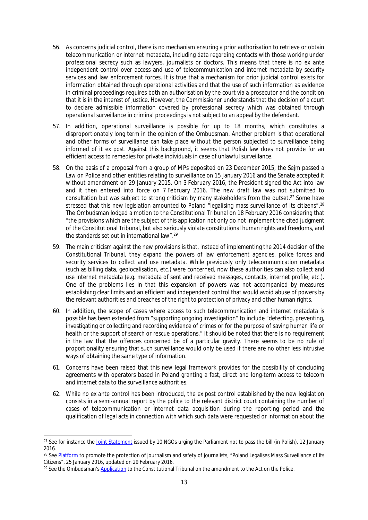- 56. As concerns judicial control, there is no mechanism ensuring a prior authorisation to retrieve or obtain telecommunication or internet metadata, including data regarding contacts with those working under professional secrecy such as lawyers, journalists or doctors. This means that there is no *ex ante*  independent control over access and use of telecommunication and internet metadata by security services and law enforcement forces. It is true that a mechanism for prior judicial control exists for information obtained through operational activities and that the use of such information as evidence in criminal proceedings requires both an authorisation by the court via a prosecutor and the condition that it is in the interest of justice. However, the Commissioner understands that the decision of a court to declare admissible information covered by professional secrecy which was obtained through operational surveillance in criminal proceedings is not subject to an appeal by the defendant.
- 57. In addition, operational surveillance is possible for up to 18 months, which constitutes a disproportionately long term in the opinion of the Ombudsman. Another problem is that operational and other forms of surveillance can take place without the person subjected to surveillance being informed of it *ex post*. Against this background, it seems that Polish law does not provide for an efficient access to remedies for private individuals in case of unlawful surveillance.
- 58. On the basis of a proposal from a group of MPs deposited on 23 December 2015, the Sejm passed a Law on Police and other entities relating to surveillance on 15 January 2016 and the Senate accepted it without amendment on 29 January 2015. On 3 February 2016, the President signed the Act into law and it then entered into force on 7 February 2016. The new draft law was not submitted to consultation but was subject to strong criticism by many stakeholders from the outset.<sup>27</sup> Some have stressed that this new legislation amounted to Poland "legalising mass surveillance of its citizens".<sup>28</sup> The Ombudsman lodged a motion to the Constitutional Tribunal on 18 February 2016 considering that "the provisions which are the subject of this application not only do not implement the cited judgment of the Constitutional Tribunal, but also seriously violate constitutional human rights and freedoms, and the standards set out in international law".<sup>29</sup>
- 59. The main criticism against the new provisions is that, instead of implementing the 2014 decision of the Constitutional Tribunal, they expand the powers of law enforcement agencies, police forces and security services to collect and use metadata. While previously only telecommunication metadata (such as billing data, geolocalisation, etc.) were concerned, now these authorities can also collect and use internet metadata (e.g. metadata of sent and received messages, contacts, internet profile, etc.). One of the problems lies in that this expansion of powers was not accompanied by measures establishing clear limits and an efficient and independent control that would avoid abuse of powers by the relevant authorities and breaches of the right to protection of privacy and other human rights.
- 60. In addition, the scope of cases where access to such telecommunication and internet metadata is possible has been extended from "supporting ongoing investigation" to include "detecting, preventing, investigating or collecting and recording evidence of crimes or for the purpose of saving human life or health or the support of search or rescue operations." It should be noted that there is no requirement in the law that the offences concerned be of a particular gravity. There seems to be no rule of proportionality ensuring that such surveillance would only be used if there are no other less intrusive ways of obtaining the same type of information.
- 61. Concerns have been raised that this new legal framework provides for the possibility of concluding agreements with operators based in Poland granting a fast, direct and long-term access to telecom and internet data to the surveillance authorities.
- 62. While no *ex ante* control has been introduced, the *ex post* control established by the new legislation consists in a semi-annual report by the police to the relevant district court containing the number of cases of telecommunication or internet data acquisition during the reporting period and the qualification of legal acts in connection with which such data were requested or information about the

<sup>&</sup>lt;sup>27</sup> See for instance the [Joint Statement](https://panoptykon.org/wiadomosc/organizacje-apeluja-do-poslow-o-rezygnacje-z-niebezpiecznych-propozycji-i-zapewnienie) issued by 10 NGOs urging the Parliament not to pass the bill (in Polish), 12 January 2016.

<sup>&</sup>lt;sup>28</sup> See [Platform](http://www.coe.int/en/web/media-freedom/all-alerts?p_p_id=sojdashboard_WAR_coesojportlet&p_p_lifecycle=0&p_p_state=normal&p_p_mode=view&p_p_col_id=column-1&p_p_col_pos=2&p_p_col_count=4&_sojdashboard_WAR_coesojportlet_mvcPath=%2Fhtml%2Fdashboard%2Fsearch_results.jsp&_sojdashboard_WAR_coesojportlet_yearOfIncident=0&_sojdashboard_WAR_coesojportlet_selectedCategories=11709560&_sojdashboard_WAR_coesojportlet_fulltext=1) to promote the protection of journalism and safety of journalists, "Poland Legalises Mass Surveillance of its Citizens", 25 January 2016, updated on 29 February 2016.

<sup>&</sup>lt;sup>29</sup> See the Ombudsman's [Application](https://www.rpo.gov.pl/en/content/application-constitutional-tribunal-amendment-act-police) to the Constitutional Tribunal on the amendment to the Act on the Police.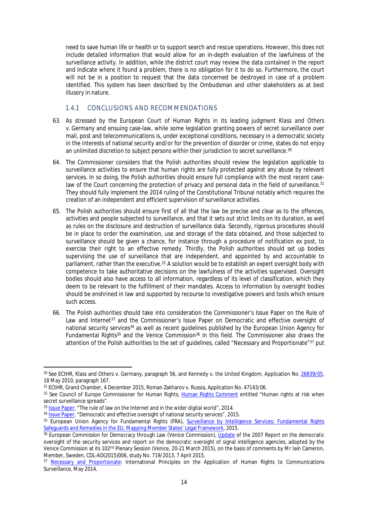need to save human life or health or to support search and rescue operations. However, this does not include detailed information that would allow for an in-depth evaluation of the lawfulness of the surveillance activity. In addition, while the district court may review the data contained in the report and indicate where it found a problem, there is no obligation for it to do so. Furthermore, the court will not be in a position to request that the data concerned be destroyed in case of a problem identified. This system has been described by the Ombudsman and other stakeholders as at best illusory in nature.

#### <span id="page-16-0"></span>1.4.1 CONCLUSIONS AND RECOMMENDATIONS

- 63. As stressed by the European Court of Human Rights in its leading judgment *Klass and Others v. Germany* and ensuing case-law, while some legislation granting powers of secret surveillance over mail, post and telecommunications is, under exceptional conditions, necessary in a democratic society in the interests of national security and/or for the prevention of disorder or crime, states do not enjoy an unlimited discretion to subject persons within their jurisdiction to secret surveillance.<sup>30</sup>
- 64. The Commissioner considers that the Polish authorities should review the legislation applicable to surveillance activities to ensure that human rights are fully protected against any abuse by relevant services. In so doing, the Polish authorities should ensure full compliance with the most recent caselaw of the Court concerning the protection of privacy and personal data in the field of surveillance.<sup>31</sup> They should fully implement the 2014 ruling of the Constitutional Tribunal notably which requires the creation of an independent and efficient supervision of surveillance activities.
- 65. The Polish authorities should ensure first of all that the law be precise and clear as to the offences, activities and people subjected to surveillance, and that it sets out strict limits on its duration, as well as rules on the disclosure and destruction of surveillance data. Secondly, rigorous procedures should be in place to order the examination, use and storage of the data obtained, and those subjected to surveillance should be given a chance, for instance through a procedure of notification *ex post*, to exercise their right to an effective remedy. Thirdly, the Polish authorities should set up bodies supervising the use of surveillance that are independent, and appointed by and accountable to parliament, rather than the executive.<sup>32</sup> A solution would be to establish an expert oversight body with competence to take authoritative decisions on the lawfulness of the activities supervised. Oversight bodies should also have access to all information, regardless of its level of classification, which they deem to be relevant to the fulfillment of their mandates. Access to information by oversight bodies should be enshrined in law and supported by recourse to investigative powers and tools which ensure such access.
- 66. The Polish authorities should take into consideration the Commissioner's Issue Paper on the Rule of Law and Internet<sup>33</sup> and the Commissioner's Issue Paper on Democratic and effective oversight of national security services<sup>34</sup> as well as recent guidelines published by the European Union Agency for Fundamental Rights<sup>35</sup> and the Venice Commission<sup>36</sup> in this field. The Commissioner also draws the attention of the Polish authorities to the set of guidelines, called "Necessary and Proportionate"<sup>37</sup> put

<sup>30</sup> See ECtHR, Klass and Others v. Germany, paragraph 56, and Kennedy v. the United Kingdom, Application No. [26839/05](http://hudoc.echr.coe.int/eng?i=001-98473), 18 May 2010, paragraph 167.

<sup>31</sup> ECtHR, Grand Chamber, 4 December 2015, Roman Zakharov v. Russia, Application No. 47143/06.

<sup>32</sup> See Council of Europe Commissioner for Human Rights, [Human Rights Comment](http://www.coe.int/en/web/commissioner/-/human-rights-at-risk-when-secret-surveillance-sprea-1?inheritRedirect=true&redirect=%2Fen%2Fweb%2Fcommissioner%2Fthematic-work%2Fcounter-terrorism) entitled "Human rights at risk when secret surveillance spreads".

<sup>&</sup>lt;sup>33</sup> [Issue Paper,](https://wcd.coe.int/ViewDoc.jsp?Ref=CommDH/IssuePaper(2014)1&Language=lanAll) "The rule of law on the Internet and in the wider digital world", 2014.

<sup>&</sup>lt;sup>34</sup> [Issue Paper,](https://wcd.coe.int/ViewDoc.jsp?Ref=CommDH/IssuePaper(2015)2&Language=lanAll) "Democratic and effective oversight of national security services", 2015.

<sup>35</sup> European Union Agency for Fundamental Rights (FRA), [Surveillance by Intelligence Services: Fundamental Rights](http://fra.europa.eu/en/publication/2015/surveillance-intelligence-services)  [Safeguards and Remedies in the EU, Mapping Member States' Legal Framework,](http://fra.europa.eu/en/publication/2015/surveillance-intelligence-services) 2015.

<sup>&</sup>lt;sup>36</sup> European Commission for Democracy through Law (Venice Commission), [Update](http://www.venice.coe.int/webforms/documents/default.aspx?pdffile=CDL-AD(2015)006-e) of the 2007 Report on the democratic oversight of the security services and report on the democratic oversight of signal intelligence agencies, adopted by the Venice Commission at its 102nd Plenary Session (Venice, 20-21 March 2015), on the basis of comments by Mr Iain Cameron, Member, Sweden, CDL-AD(2015)006, study No. 719/2013, 7 April 2015.

<sup>37</sup> [Necessary and Proportionate:](https://en.necessaryandproportionate.org/text) International Principles on the Application of Human Rights to Communications Surveillance, May 2014.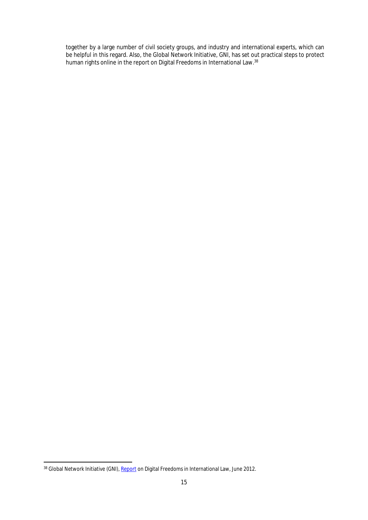together by a large number of civil society groups, and industry and international experts, which can be helpful in this regard. Also, the Global Network Initiative, GNI, has set out practical steps to protect human rights online in the report on Digital Freedoms in International Law.<sup>38</sup>

<sup>38</sup> Global Network Initiative (GNI), [Report](https://globalnetworkinitiative.org/sites/default/files/Digital%20Freedoms%20in%20International%20Law.pdf) on Digital Freedoms in International Law, June 2012.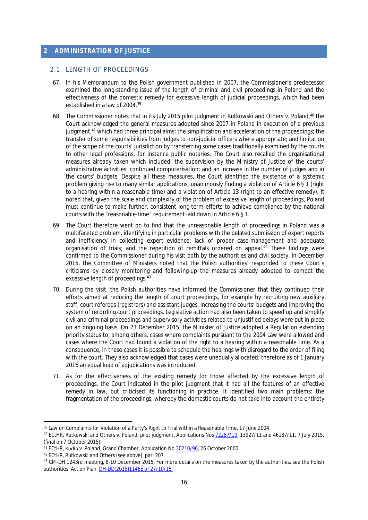# <span id="page-18-0"></span>**2 ADMINISTRATION OF JUSTICE**

#### <span id="page-18-1"></span>2.1 LENGTH OF PROCEEDINGS

- 67. In his Memorandum to the Polish government published in 2007, the Commissioner's predecessor examined the long-standing issue of the length of criminal and civil proceedings in Poland and the effectiveness of the domestic remedy for excessive length of judicial proceedings, which had been established in a law of 2004.<sup>39</sup>
- 68. The Commissioner notes that in its July 2015 pilot judgment in Rutkowski and Others v. Poland,<sup>40</sup> the Court acknowledged the general measures adopted since 2007 in Poland in execution of a previous judgment,<sup>41</sup> which had three principal aims: the simplification and acceleration of the proceedings; the transfer of some responsibilities from judges to non-judicial officers where appropriate; and limitation of the scope of the courts' jurisdiction by transferring some cases traditionally examined by the courts to other legal professions, for instance public notaries. The Court also recalled the organisational measures already taken which included: the supervision by the Ministry of Justice of the courts' administrative activities; continued computerisation; and an increase in the number of judges and in the courts' budgets. Despite all these measures, the Court identified the existence of a systemic problem giving rise to many similar applications, unanimously finding a violation of Article 6 § 1 (right to a hearing within a reasonable time) and a violation of Article 13 (right to an effective remedy). It noted that, given the scale and complexity of the problem of excessive length of proceedings, Poland must continue to make further, consistent long-term efforts to achieve compliance by the national courts with the "reasonable-time" requirement laid down in Article 6 § 1.
- 69. The Court therefore went on to find that the unreasonable length of proceedings in Poland was a multifaceted problem, identifying in particular problems with the belated submission of expert reports and inefficiency in collecting expert evidence; lack of proper case-management and adequate organisation of trials; and the repetition of remittals ordered on appeal.<sup>42</sup> These findings were confirmed to the Commissioner during his visit both by the authorities and civil society. In December 2015, the Committee of Ministers noted that the Polish authorities' responded to these Court's criticisms by closely monitoring and following-up the measures already adopted to combat the excessive length of proceedings.<sup>43</sup>
- 70. During the visit, the Polish authorities have informed the Commissioner that they continued their efforts aimed at reducing the length of court proceedings, for example by recruiting new auxiliary staff, court referees (registrars) and assistant judges, increasing the courts' budgets and improving the system of recording court proceedings. Legislative action had also been taken to speed up and simplify civil and criminal proceedings and supervisory activities related to unjustified delays were put in place on an ongoing basis. On 23 December 2015, the Minister of Justice adopted a Regulation extending priority status to, among others, cases where complaints pursuant to the 2004 Law were allowed and cases where the Court had found a violation of the right to a hearing within a reasonable time. As a consequence, in these cases it is possible to schedule the hearings with disregard to the order of filing with the court. They also acknowledged that cases were unequally allocated; therefore as of 1 January 2016 an equal load of adjudications was introduced.
- 71. As for the effectiveness of the existing remedy for those affected by the excessive length of proceedings, the Court indicated in the pilot judgment that it had all the features of an effective remedy in law, but criticised its functioning in practice. It identified two main problems: the fragmentation of the proceedings, whereby the domestic courts do not take into account the entirety

<sup>&</sup>lt;sup>39</sup> Law on Complaints for Violation of a Party's Right to Trial within a Reasonable Time, 17 June 2004

<sup>40</sup> ECtHR, Rutkowski and Others v. Poland, pilot judgment, Applications Nos [72287/10,](http://hudoc.echr.coe.int/eng?i=001-156206) 13927/11 and 46187/11, 7 July 2015, (final on 7 October 2015).

<sup>41</sup> ECtHR, Kudła v. Poland, Grand Chamber, Application No [30210/96](http://hudoc.echr.coe.int/eng?i=001-58920), 26 October 2000.

<sup>42</sup> ECtHR, Rutkowski and Others (see above). par. 207.

<sup>43</sup> CM-DH 1243rd meeting, 8-10 December 2015. For more details on the measures taken by the authorities, see the Polish authorities' Action Plan, [DH-DD\(2015\)1146E of 27/10/15.](https://wcd.coe.int/ViewDoc.jsp?p=&Ref=DH-DD%282015%291146&Language=lanEnglish&Site=CM&direct=true)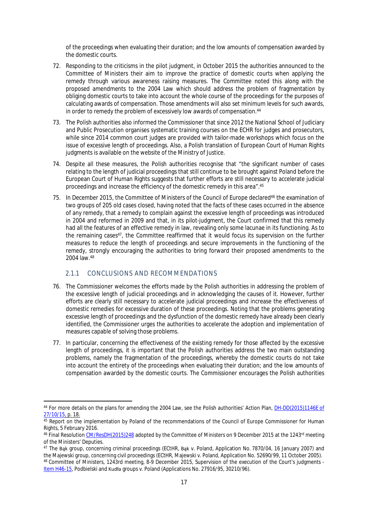of the proceedings when evaluating their duration; and the low amounts of compensation awarded by the domestic courts.

- 72. Responding to the criticisms in the pilot judgment, in October 2015 the authorities announced to the Committee of Ministers their aim to improve the practice of domestic courts when applying the remedy through various awareness raising measures. The Committee noted this along with the proposed amendments to the 2004 Law which should address the problem of fragmentation by obliging domestic courts to take into account the whole course of the proceedings for the purposes of calculating awards of compensation. Those amendments will also set minimum levels for such awards, in order to remedy the problem of excessively low awards of compensation.<sup>44</sup>
- 73. The Polish authorities also informed the Commissioner that since 2012 the National School of Judiciary and Public Prosecution organises systematic training courses on the ECHR for judges and prosecutors, while since 2014 common court judges are provided with tailor-made workshops which focus on the issue of excessive length of proceedings. Also, a Polish translation of European Court of Human Rights judgments is available on the website of the Ministry of Justice.
- 74. Despite all these measures, the Polish authorities recognise that "the significant number of cases relating to the length of judicial proceedings that still continue to be brought against Poland before the European Court of Human Rights suggests that further efforts are still necessary to accelerate judicial proceedings and increase the efficiency of the domestic remedy in this area".<sup>45</sup>
- 75. In December 2015, the Committee of Ministers of the Council of Europe declared<sup>46</sup> the examination of two groups of 205 old cases closed, having noted that the facts of these cases occurred in the absence of any remedy, that a remedy to complain against the excessive length of proceedings was introduced in 2004 and reformed in 2009 and that, in its pilot-judgment, the Court confirmed that this remedy had all the features of an effective remedy in law, revealing only some lacunae in its functioning. As to the remaining cases<sup>47</sup>, the Committee reaffirmed that it would focus its supervision on the further measures to reduce the length of proceedings and secure improvements in the functioning of the remedy, strongly encouraging the authorities to bring forward their proposed amendments to the 2004 law.<sup>48</sup>

# <span id="page-19-0"></span>2.1.1 CONCLUSIONS AND RECOMMENDATIONS

- 76. The Commissioner welcomes the efforts made by the Polish authorities in addressing the problem of the excessive length of judicial proceedings and in acknowledging the causes of it. However, further efforts are clearly still necessary to accelerate judicial proceedings and increase the effectiveness of domestic remedies for excessive duration of these proceedings. Noting that the problems generating excessive length of proceedings and the dysfunction of the domestic remedy have already been clearly identified, the Commissioner urges the authorities to accelerate the adoption and implementation of measures capable of solving those problems.
- 77. In particular, concerning the effectiveness of the existing remedy for those affected by the excessive length of proceedings, it is important that the Polish authorities address the two main outstanding problems, namely the fragmentation of the proceedings, whereby the domestic courts do not take into account the entirety of the proceedings when evaluating their duration; and the low amounts of compensation awarded by the domestic courts. The Commissioner encourages the Polish authorities

<sup>44</sup> For more details on the plans for amending the 2004 Law, see the Polish authorities' Action Plan, [DH-DD\(2015\)1146E of](https://wcd.coe.int/ViewDoc.jsp?p=&Ref=DH-DD%282015%291146&Language=lanEnglish&Site=CM&direct=true)  [27/10/15,](https://wcd.coe.int/ViewDoc.jsp?p=&Ref=DH-DD%282015%291146&Language=lanEnglish&Site=CM&direct=true) p. 18.

<sup>45</sup> Report on the implementation by Poland of the recommendations of the Council of Europe Commissioner for Human Rights, 5 February 2016.

<sup>46</sup> Final Resolution [CM/ResDH\(2015\)248](https://wcd.coe.int/ViewDoc.jsp?p=&Ref=CM/ResDH(2015)248&Language=lanEnglish&Ver=original&Site=&BackColorInternet=DBDCF2&BackColorIntranet=FDC864&BackColorLogged=FDC864&direct=true) adopted by the Committee of Ministers on 9 December 2015 at the 1243rd meeting of the Ministers' Deputies.

<sup>&</sup>lt;sup>47</sup> The Bak group, concerning criminal proceedings (ECtHR, Bak v. Poland, Application No. 7870/04, 16 January 2007) and the Majewski group, concerning civil proceedings (ECtHR, Majewski v. Poland, Application No. 52690/99, 11 October 2005). 48 Committee of Ministers, 1243rd meeting, 8-9 December 2015, Supervision of the execution of the Court's judgments -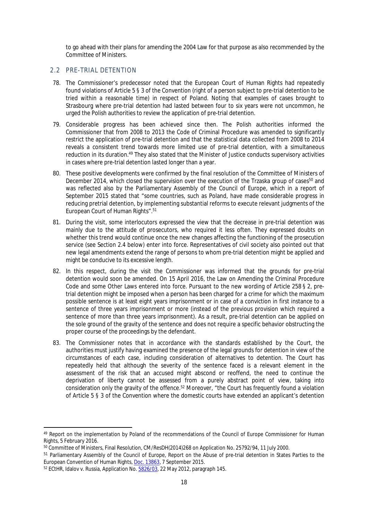to go ahead with their plans for amending the 2004 Law for that purpose as also recommended by the Committee of Ministers.

#### <span id="page-20-0"></span>2.2 PRE-TRIAL DETENTION

- 78. The Commissioner's predecessor noted that the European Court of Human Rights had repeatedly found violations of Article 5 § 3 of the Convention (right of a person subject to pre-trial detention to be tried within a reasonable time) in respect of Poland. Noting that examples of cases brought to Strasbourg where pre-trial detention had lasted between four to six years were not uncommon, he urged the Polish authorities to review the application of pre-trial detention.
- 79. Considerable progress has been achieved since then. The Polish authorities informed the Commissioner that from 2008 to 2013 the Code of Criminal Procedure was amended to significantly restrict the application of pre-trial detention and that the statistical data collected from 2008 to 2014 reveals a consistent trend towards more limited use of pre-trial detention, with a simultaneous reduction in its duration.<sup>49</sup> They also stated that the Minister of Justice conducts supervisory activities in cases where pre-trial detention lasted longer than a year.
- 80. These positive developments were confirmed by the final resolution of the Committee of Ministers of December 2014, which closed the supervision over the execution of the Trzaska group of cases<sup>50</sup> and was reflected also by the Parliamentary Assembly of the Council of Europe, which in a report of September 2015 stated that "some countries, such as Poland, have made considerable progress in reducing pretrial detention, by implementing substantial reforms to execute relevant judgments of the European Court of Human Rights".<sup>51</sup>
- 81. During the visit, some interlocutors expressed the view that the decrease in pre-trial detention was mainly due to the attitude of prosecutors, who required it less often. They expressed doubts on whether this trend would continue once the new changes affecting the functioning of the prosecution service (see Section 2.4 below) enter into force. Representatives of civil society also pointed out that new legal amendments extend the range of persons to whom pre-trial detention might be applied and might be conducive to its excessive length.
- 82. In this respect, during the visit the Commissioner was informed that the grounds for pre-trial detention would soon be amended. On 15 April 2016, the Law on Amending the Criminal Procedure Code and some Other Laws entered into force. Pursuant to the new wording of Article 258 § 2, pretrial detention might be imposed when a person has been charged for a crime for which the maximum possible sentence is at least eight years imprisonment or in case of a conviction in first instance to a sentence of three years imprisonment or more (instead of the previous provision which required a sentence of more than three years imprisonment). As a result, pre-trial detention can be applied on the sole ground of the gravity of the sentence and does not require a specific behavior obstructing the proper course of the proceedings by the defendant.
- 83. The Commissioner notes that in accordance with the standards established by the Court, the authorities must justify having examined the presence of the legal grounds for detention in view of the circumstances of each case, including consideration of alternatives to detention. The Court has repeatedly held that although the severity of the sentence faced is a relevant element in the assessment of the risk that an accused might abscond or reoffend, the need to continue the deprivation of liberty cannot be assessed from a purely abstract point of view, taking into consideration only the gravity of the offence.<sup>52</sup> Moreover, "the Court has frequently found a violation of Article 5 § 3 of the Convention where the domestic courts have extended an applicant's detention

<sup>49</sup> Report on the implementation by Poland of the recommendations of the Council of Europe Commissioner for Human Rights, 5 February 2016.

<sup>50</sup> Committee of Ministers, Final Resolution, CM/ResDH(2014)268 on Application No. 25792/94, 11 July 2000.

<sup>&</sup>lt;sup>51</sup> Parliamentary Assembly of the Council of Europe, Report on the Abuse of pre-trial detention in States Parties to the European Convention of Human Rights, [Doc. 13863](http://semantic-pace.net/tools/pdf.aspx?doc=aHR0cDovL2Fzc2VtYmx5LmNvZS5pbnQvbncveG1sL1hSZWYvWDJILURXLWV4dHIuYXNwP2ZpbGVpZD0yMTk5MiZsYW5nPUVO&xsl=aHR0cDovL3NlbWFudGljcGFjZS5uZXQvWHNsdC9QZGYvWFJlZi1XRC1BVC1YTUwyUERGLnhzbA==&xsltparams=ZmlsZWlkPTIxOTky), 7 September 2015.

<sup>&</sup>lt;sup>52</sup> ECtHR, Idalov v. Russia, Application No. [5826/03,](http://hudoc.echr.coe.int/eng?i=001-110986) 22 May 2012, paragraph 145.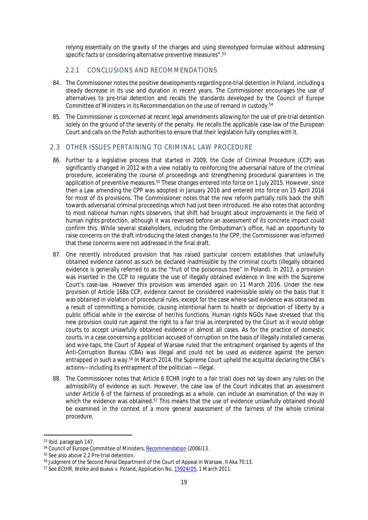relying essentially on the gravity of the charges and using stereotyped formulae without addressing specific facts or considering alternative preventive measures".<sup>53</sup>

# <span id="page-21-0"></span>2.2.1 CONCLUSIONS AND RECOMMENDATIONS

- 84. The Commissioner notes the positive developments regarding pre-trial detention in Poland, including a steady decrease in its use and duration in recent years. The Commissioner encourages the use of alternatives to pre-trial detention and recalls the standards developed by the Council of Europe Committee of Ministers in its Recommendation on the use of remand in custody.<sup>54</sup>
- 85. The Commissioner is concerned at recent legal amendments allowing for the use of pre-trial detention solely on the ground of the severity of the penalty. He recalls the applicable case-law of the European Court and calls on the Polish authorities to ensure that their legislation fully complies with it.

### <span id="page-21-1"></span>2.3 OTHER ISSUES PERTAINING TO CRIMINAL LAW PROCEDURE

- 86. Further to a legislative process that started in 2009, the Code of Criminal Procedure (CCP) was significantly changed in 2012 with a view notably to reinforcing the adversarial nature of the criminal procedure, accelerating the course of proceedings and strengthening procedural guarantees in the application of preventive measures.<sup>55</sup> These changes entered into force on 1 July 2015. However, since then a Law amending the CPP was adopted in January 2016 and entered into force on 15 April 2016 for most of its provisions. The Commissioner notes that the new reform partially rolls back the shift towards adversarial criminal proceedings which had just been introduced. He also notes that according to most national human rights observers, that shift had brought about improvements in the field of human rights protection, although it was reversed before an assessment of its concrete impact could confirm this. While several stakeholders, including the Ombudsman's office, had an opportunity to raise concerns on the draft introducing the latest changes to the CPP, the Commissioner was informed that these concerns were not addressed in the final draft.
- 87. One recently introduced provision that has raised particular concern establishes that unlawfully obtained evidence cannot as such be declared inadmissible by the criminal courts (illegally obtained evidence is generally referred to as the "fruit of the poisonous tree" in Poland). In 2013, a provision was inserted in the CCP to regulate the use of illegally obtained evidence in line with the Supreme Court's case-law. However this provision was amended again on 11 March 2016. Under the new provision of Article 168a CCP, evidence cannot be considered inadmissible solely on the basis that it was obtained in violation of procedural rules, except for the case where said evidence was obtained as a result of committing a homicide, causing intentional harm to health or deprivation of liberty by a public official while in the exercise of her/his functions. Human rights NGOs have stressed that this new provision could run against the right to a fair trial as interpreted by the Court as it would oblige courts to accept unlawfully obtained evidence in almost all cases. As for the practice of domestic courts, in a case concerning a politician accused of corruption on the basis of illegally installed cameras and wire-taps, the Court of Appeal of Warsaw ruled that the entrapment organised by agents of the Anti-Corruption Bureau (CBA) was illegal and could not be used as evidence against the person entrapped in such a way.<sup>56</sup> In March 2014, the Supreme Court upheld the acquittal declaring the CBA's actions—including its entrapment of the politician —illegal.
- 88. The Commissioner notes that Article 6 ECHR (right to a fair trial) does not lay down any rules on the admissibility of evidence as such. However, the case law of the Court indicates that an assessment under Article 6 of the fairness of proceedings as a whole, can include an examination of the way in which the evidence was obtained.<sup>57</sup> This means that the use of evidence unlawfully obtained should be examined in the context of a more general assessment of the fairness of the whole criminal procedure.

<sup>53</sup> Ibid. paragraph 147.

<sup>&</sup>lt;sup>54</sup> Council of Europe Committee of Ministers, [Recommendation](https://search.coe.int/cm/Pages/result_details.aspx?ObjectID=09000016805d743f) (2006)13.

<sup>55</sup> See also above 2.2 Pre-trial detention.

<sup>56</sup> Judgment of the Second Penal Department of the Court of Appeal in Warsaw, II Aka 70:13.

<sup>&</sup>lt;sup>57</sup> See ECtHR, Welke and Białek v. Poland, Application No. [15924/05,](http://hudoc.echr.coe.int/eng?i=001-103743) 1 March 2011.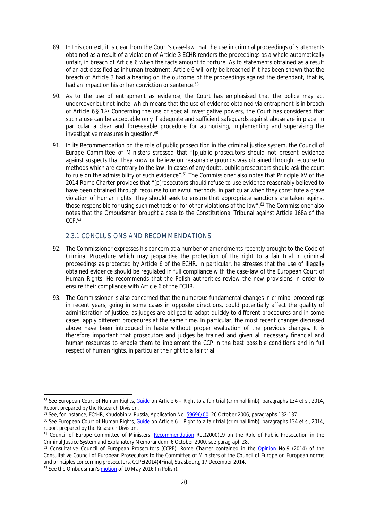- 89. In this context, it is clear from the Court's case-law that the use in criminal proceedings of statements obtained as a result of a violation of Article 3 ECHR renders the proceedings as a whole automatically unfair, in breach of Article 6 when the facts amount to torture. As to statements obtained as a result of an act classified as inhuman treatment, Article 6 will only be breached if it has been shown that the breach of Article 3 had a bearing on the outcome of the proceedings against the defendant, that is, had an impact on his or her conviction or sentence.<sup>58</sup>
- 90. As to the use of entrapment as evidence, the Court has emphasised that the police may act undercover but not incite, which means that the use of evidence obtained via entrapment is in breach of Article 6 § 1.<sup>59</sup> Concerning the use of special investigative powers, the Court has considered that such a use can be acceptable only if adequate and sufficient safeguards against abuse are in place, in particular a clear and foreseeable procedure for authorising, implementing and supervising the investigative measures in question.<sup>60</sup>
- 91. In its Recommendation on the role of public prosecution in the criminal justice system, the Council of Europe Committee of Ministers stressed that "[p]ublic prosecutors should not present evidence against suspects that they know or believe on reasonable grounds was obtained through recourse to methods which are contrary to the law. In cases of any doubt, public prosecutors should ask the court to rule on the admissibility of such evidence".<sup>61</sup> The Commissioner also notes that Principle XV of the 2014 Rome Charter provides that "[p]rosecutors should refuse to use evidence reasonably believed to have been obtained through recourse to unlawful methods, in particular when they constitute a grave violation of human rights. They should seek to ensure that appropriate sanctions are taken against those responsible for using such methods or for other violations of the law".<sup>62</sup> The Commissioner also notes that the Ombudsman brought a case to the Constitutional Tribunal against Article 168a of the CCP.<sup>63</sup>

# <span id="page-22-0"></span>2.3.1 CONCLUSIONS AND RECOMMENDATIONS

- 92. The Commissioner expresses his concern at a number of amendments recently brought to the Code of Criminal Procedure which may jeopardise the protection of the right to a fair trial in criminal proceedings as protected by Article 6 of the ECHR. In particular, he stresses that the use of illegally obtained evidence should be regulated in full compliance with the case-law of the European Court of Human Rights. He recommends that the Polish authorities review the new provisions in order to ensure their compliance with Article 6 of the ECHR.
- 93. The Commissioner is also concerned that the numerous fundamental changes in criminal proceedings in recent years, going in some cases in opposite directions, could potentially affect the quality of administration of justice, as judges are obliged to adapt quickly to different procedures and in some cases, apply different procedures at the same time. In particular, the most recent changes discussed above have been introduced in haste without proper evaluation of the previous changes. It is therefore important that prosecutors and judges be trained and given all necessary financial and human resources to enable them to implement the CCP in the best possible conditions and in full respect of human rights, in particular the right to a fair trial.

<sup>58</sup> See European Court of Human Rights, [Guide](http://www.echr.coe.int/Documents/Guide_Art_6_criminal_ENG.pdf) on Article 6 – Right to a fair trial (criminal limb), paragraphs 134 *et s*., 2014, Report prepared by the Research Division.

<sup>59</sup> See, for instance, ECtHR, Khudobin v. Russia, Application No. [59696/00](http://hudoc.echr.coe.int/eng?i=001-77692), 26 October 2006, paragraphs 132-137.

<sup>60</sup> See European Court of Human Rights, [Guide](http://www.echr.coe.int/Documents/Guide_Art_6_criminal_ENG.pdf) on Article 6 – Right to a fair trial (criminal limb), paragraphs 134 *et s*., 2014, report prepared by the Research Division.

<sup>&</sup>lt;sup>61</sup> Council of Europe Committee of Ministers, [Recommendation](https://rm.coe.int/CoERMPublicCommonSearchServices/DisplayDCTMContent?documentId=09000016804be55a) Rec(2000)19 on the Role of Public Prosecution in the Criminal Justice System and Explanatory Memorandum, 6 October 2000, see paragraph 28.

<sup>62</sup> Consultative Council of European Prosecutors (CCPE), Rome Charter contained in the [Opinion](https://wcd.coe.int/ViewDoc.jsp?p=&Ref=CCPE(2014)4&Language=lanEnglish&Ver=original&BackColorInternet=DBDCF2&BackColorIntranet=FDC864&BackColorLogged=FDC864&direct=true) No.9 (2014) of the Consultative Council of European Prosecutors to the Committee of Ministers of the Council of Europe on European norms and principles concerning prosecutors, CCPE(2014)4Final, Strasbourg, 17 December 2014.

<sup>&</sup>lt;sup>63</sup> See the Ombudsman's [motion](https://www.rpo.gov.pl/pl/content/wniosek-do-TK-w-sprawie-owocow-zatrutego-drzewa-art-168a-Kpk) of 10 May 2016 (in Polish).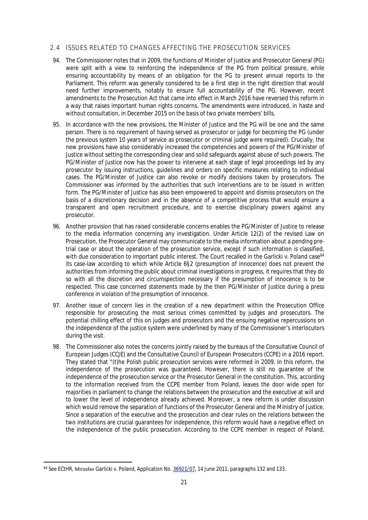# <span id="page-23-0"></span>2.4 ISSUES RELATED TO CHANGES AFFECTING THE PROSECUTION SERVICES

- 94. The Commissioner notes that in 2009, the functions of Minister of Justice and Prosecutor General (PG) were split with a view to reinforcing the independence of the PG from political pressure, while ensuring accountability by means of an obligation for the PG to present annual reports to the Parliament. This reform was generally considered to be a first step in the right direction that would need further improvements, notably to ensure full accountability of the PG. However, recent amendments to the Prosecution Act that came into effect in March 2016 have reversed this reform in a way that raises important human rights concerns. The amendments were introduced, in haste and without consultation, in December 2015 on the basis of two private members' bills.
- 95. In accordance with the new provisions, the Minister of Justice and the PG will be one and the same person. There is no requirement of having served as prosecutor or judge for becoming the PG (under the previous system 10 years of service as prosecutor or criminal judge were required). Crucially, the new provisions have also considerably increased the competencies and powers of the PG/Minister of Justice without setting the corresponding clear and solid safeguards against abuse of such powers. The PG/Minister of Justice now has the power to intervene at each stage of legal proceedings led by any prosecutor by issuing instructions, guidelines and orders on specific measures relating to individual cases. The PG/Minister of Justice can also revoke or modify decisions taken by prosecutors. The Commissioner was informed by the authorities that such interventions are to be issued in written form. The PG/Minister of Justice has also been empowered to appoint and dismiss prosecutors on the basis of a discretionary decision and in the absence of a competitive process that would ensure a transparent and open recruitment procedure, and to exercise disciplinary powers against any prosecutor.
- 96. Another provision that has raised considerable concerns enables the PG/Minister of Justice to release to the media information concerning any investigation. Under Article 12(2) of the revised Law on Prosecution, the Prosecutor General may communicate to the media information about a pending pretrial case or about the operation of the prosecution service, except if such information is classified, with due consideration to important public interest. The Court recalled in the *Garlicki v. Poland* case<sup>64</sup> its case-law according to which while Article 6§2 (presumption of innocence) does not prevent the authorities from informing the public about criminal investigations in progress, it requires that they do so with all the discretion and circumspection necessary if the presumption of innocence is to be respected. This case concerned statements made by the then PG/Minister of Justice during a press conference in violation of the presumption of innocence.
- 97. Another issue of concern lies in the creation of a new department within the Prosecution Office responsible for prosecuting the most serious crimes committed by judges and prosecutors. The potential chilling effect of this on judges and prosecutors and the ensuing negative repercussions on the independence of the justice system were underlined by many of the Commissioner's interlocutors during the visit.
- 98. The Commissioner also notes the concerns jointly raised by the bureaus of the Consultative Council of European Judges (CCJE) and the Consultative Council of European Prosecutors (CCPE) in a 2016 report. They stated that "(t)he Polish public prosecution services were reformed in 2009. In this reform, the independence of the prosecution was guaranteed. However, there is still no guarantee of the independence of the prosecution service or the Prosecutor General in the constitution. This, according to the information received from the CCPE member from Poland, leaves the door wide open for majorities in parliament to change the relations between the prosecution and the executive at will and to lower the level of independence already achieved. Moreover, a new reform is under discussion which would remove the separation of functions of the Prosecutor General and the Ministry of Justice. Since a separation of the executive and the prosecution and clear rules on the relations between the two institutions are crucial guarantees for independence, this reform would have a negative effect on the independence of the public prosecution. According to the CCPE member in respect of Poland,

<sup>&</sup>lt;sup>64</sup> See ECtHR, Mirosłav Garlicki v. Poland, Application No. [36921/07,](http://hudoc.echr.coe.int/eng?i=001-105121) 14 June 2011, paragraphs 132 and 133.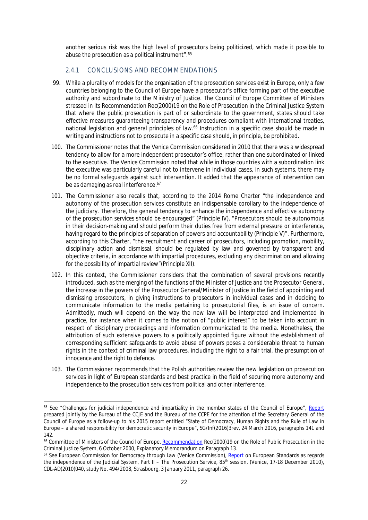another serious risk was the high level of prosecutors being politicized, which made it possible to abuse the prosecution as a political instrument".<sup>65</sup>

# <span id="page-24-0"></span>2.4.1 CONCLUSIONS AND RECOMMENDATIONS

- 99. While a plurality of models for the organisation of the prosecution services exist in Europe, only a few countries belonging to the Council of Europe have a prosecutor's office forming part of the executive authority and subordinate to the Ministry of Justice. The Council of Europe Committee of Ministers stressed in its Recommendation Rec(2000)19 on the Role of Prosecution in the Criminal Justice System that where the public prosecution is part of or subordinate to the government, states should take effective measures guaranteeing transparency and procedures compliant with international treaties, national legislation and general principles of law.<sup>66</sup> Instruction in a specific case should be made in writing and instructions not to prosecute in a specific case should, in principle, be prohibited.
- 100. The Commissioner notes that the Venice Commission considered in 2010 that there was a widespread tendency to allow for a more independent prosecutor's office, rather than one subordinated or linked to the executive. The Venice Commission noted that while in those countries with a subordination link the executive was particularly careful not to intervene in individual cases, in such systems, there may be no formal safeguards against such intervention. It added that the appearance of intervention can be as damaging as real interference.<sup>67</sup>
- 101. The Commissioner also recalls that, according to the 2014 Rome Charter "the independence and autonomy of the prosecution services constitute an indispensable corollary to the independence of the judiciary. Therefore, the general tendency to enhance the independence and effective autonomy of the prosecution services should be encouraged" (Principle IV). "Prosecutors should be autonomous in their decision-making and should perform their duties free from external pressure or interference, having regard to the principles of separation of powers and accountability (Principle V)". Furthermore, according to this Charter, "the recruitment and career of prosecutors, including promotion, mobility, disciplinary action and dismissal, should be regulated by law and governed by transparent and objective criteria, in accordance with impartial procedures, excluding any discrimination and allowing for the possibility of impartial review"(Principle XII).
- 102. In this context, the Commissioner considers that the combination of several provisions recently introduced, such as the merging of the functions of the Minister of Justice and the Prosecutor General, the increase in the powers of the Prosecutor General/Minister of Justice in the field of appointing and dismissing prosecutors, in giving instructions to prosecutors in individual cases and in deciding to communicate information to the media pertaining to prosecutorial files, is an issue of concern. Admittedly, much will depend on the way the new law will be interpreted and implemented in practice, for instance when it comes to the notion of "public interest" to be taken into account in respect of disciplinary proceedings and information communicated to the media. Nonetheless, the attribution of such extensive powers to a politically appointed figure without the establishment of corresponding sufficient safeguards to avoid abuse of powers poses a considerable threat to human rights in the context of criminal law procedures, including the right to a fair trial, the presumption of innocence and the right to defence.
- 103. The Commissioner recommends that the Polish authorities review the new legislation on prosecution services in light of European standards and best practice in the field of securing more autonomy and independence to the prosecution services from political and other interference.

<sup>65</sup> See "Challenges for judicial independence and impartiality in the member states of the Council of Europe", [Report](http://www.coe.int/t/DGHL/cooperation/ccje/textes/SGInf(2016)3rev%20Challenges%20for%20judicial%20independence%20and%20impartiality.pdf) prepared jointly by the Bureau of the CCJE and the Bureau of the CCPE for the attention of the Secretary General of the Council of Europe as a follow-up to his 2015 report entitled "State of Democracy, Human Rights and the Rule of Law in Europe – a shared responsibility for democratic security in Europe", SG/Inf(2016)3rev, 24 March 2016, paragraphs 141 and 142.

<sup>&</sup>lt;sup>66</sup> Committee of Ministers of the Council of Europe, [Recommendation](https://rm.coe.int/CoERMPublicCommonSearchServices/DisplayDCTMContent?documentId=09000016804be55a) Rec(2000)19 on the Role of Public Prosecution in the Criminal Justice System, 6 October 2000, Explanatory Memorandum on Paragraph 13.

<sup>67</sup> See European Commission for Democracy through Law (Venice Commission), [Report](http://www.coe.int/t/dghl/cooperation/capacitybuilding/Source/judic_reform/europeanStandards_en.pdf) on European Standards as regards the independence of the Judicial System, Part II – The Prosecution Service, 85<sup>th</sup> session, (Venice, 17-18 December 2010), CDL-AD(2010)040, study No. 494/2008, Strasbourg, 3 January 2011, paragraph 26.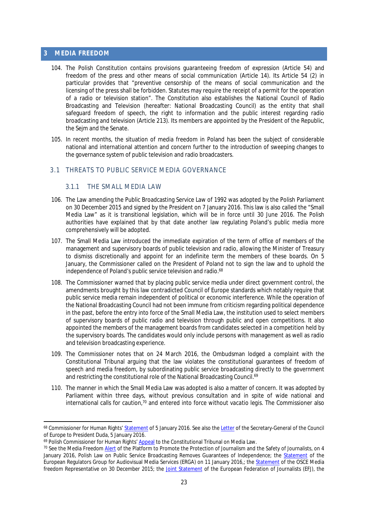#### <span id="page-25-0"></span>**3 MEDIA FREEDOM**

- 104. The Polish Constitution contains provisions guaranteeing freedom of expression (Article 54) and freedom of the press and other means of social communication (Article 14). Its Article 54 (2) in particular provides that "preventive censorship of the means of social communication and the licensing of the press shall be forbidden. Statutes may require the receipt of a permit for the operation of a radio or television station". The Constitution also establishes the National Council of Radio Broadcasting and Television (hereafter: National Broadcasting Council) as the entity that shall safeguard freedom of speech, the right to information and the public interest regarding radio broadcasting and television (Article 213). Its members are appointed by the President of the Republic, the Sejm and the Senate.
- 105. In recent months, the situation of media freedom in Poland has been the subject of considerable national and international attention and concern further to the introduction of sweeping changes to the governance system of public television and radio broadcasters.

#### <span id="page-25-1"></span>3.1 THREATS TO PUBLIC SERVICE MEDIA GOVERNANCE

# <span id="page-25-2"></span>3.1.1 THE SMALL MEDIA LAW

- 106. The Law amending the Public Broadcasting Service Law of 1992 was adopted by the Polish Parliament on 30 December 2015 and signed by the President on 7 January 2016. This law is also called the "Small Media Law" as it is transitional legislation, which will be in force until 30 June 2016. The Polish authorities have explained that by that date another law regulating Poland's public media more comprehensively will be adopted.
- 107. The Small Media Law introduced the immediate expiration of the term of office of members of the management and supervisory boards of public television and radio, allowing the Minister of Treasury to dismiss discretionally and appoint for an indefinite term the members of these boards. On 5 January, the Commissioner called on the President of Poland not to sign the law and to uphold the independence of Poland's public service television and radio.<sup>68</sup>
- 108. The Commissioner warned that by placing public service media under direct government control, the amendments brought by this law contradicted Council of Europe standards which notably require that public service media remain independent of political or economic interference. While the operation of the National Broadcasting Council had not been immune from criticism regarding political dependence in the past, before the entry into force of the Small Media Law, the institution used to select members of supervisory boards of public radio and television through public and open competitions. It also appointed the members of the management boards from candidates selected in a competition held by the supervisory boards. The candidates would only include persons with management as well as radio and television broadcasting experience.
- 109. The Commissioner notes that on 24 March 2016, the Ombudsman lodged a complaint with the Constitutional Tribunal arguing that the law violates the constitutional guarantees of freedom of speech and media freedom, by subordinating public service broadcasting directly to the government and restricting the constitutional role of the National Broadcasting Council.<sup>69</sup>
- 110. The manner in which the Small Media Law was adopted is also a matter of concern. It was adopted by Parliament within three days, without previous consultation and in spite of wide national and international calls for caution,<sup>70</sup> and entered into force without *vacatio legis.* The Commissioner also

<sup>68</sup> Commissioner for Human Rights' [Statement](http://www.coe.int/en/web/commissioner/-/call-on-polish-president-not-to-sign-new-media-law) of 5 January 2016. See also the [Letter](https://rm.coe.int/CoERMPublicCommonSearchServices/DisplayDCTMContent?documentId=090000168049a74c) of the Secretary-General of the Council of Europe to President Duda, 5 January 2016.

<sup>&</sup>lt;sup>69</sup> Polish Commissioner for Human Rights' [Appeal](https://www.rpo.gov.pl/en/content/commissioner-human-rights-appeal-constitutional-tribunal-media-law) to the Constitutional Tribunal on Media Law.

<sup>&</sup>lt;sup>70</sup> See the Media Freedom [Alert](http://www.coe.int/en/web/media-freedom/all-alerts?p_p_id=sojdashboard_WAR_coesojportlet&p_p_lifecycle=0&p_p_state=normal&p_p_mode=view&p_p_col_id=column-2&p_p_col_pos=1&p_p_col_count=7&_sojdashboard_WAR_coesojportlet_alertPK=13866244&_sojdashboard_WAR_coesojportlet_jspPage=%2Fhtml%2Fdashboard%2Fview_alert.jsp) of the Platform to Promote the Protection of Journalism and the Safety of Journalists, on 4 January 2016, Polish Law on Public Service Broadcasting Removes Guarantees of Independence; the [Statement](https://ec.europa.eu/digital-single-market/en/news/statement-european-regulators-group-audiovisual-media-services-erga-necessity-independent-media) of the European Regulators Group for Audiovisual Media Services (ERGA) on 11 January 2016,; the [Statement](http://www.osce.org/fom/213391) of the OSCE Media freedom Representative on 30 December 2015; the [Joint Statement](http://europeanjournalists.org/blog/2015/12/30/poland-media-organisations-to-oppose-abolition-of-safeguards-for-pluralism-and-independence-in-public-service-media/) of the European Federation of Journalists (EFJ), the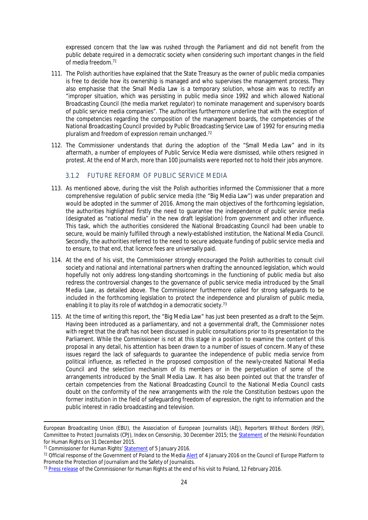expressed concern that the law was rushed through the Parliament and did not benefit from the public debate required in a democratic society when considering such important changes in the field of media freedom.<sup>71</sup>

- 111. The Polish authorities have explained that the State Treasury as the owner of public media companies is free to decide how its ownership is managed and who supervises the management process. They also emphasise that the Small Media Law is a temporary solution, whose aim was to rectify an "improper situation, which was persisting in public media since 1992 and which allowed National Broadcasting Council (the media market regulator) to nominate management and supervisory boards of public service media companies". The authorities furthermore underline that with the exception of the competencies regarding the composition of the management boards, the competencies of the National Broadcasting Council provided by Public Broadcasting Service Law of 1992 for ensuring media pluralism and freedom of expression remain unchanged.<sup>72</sup>
- 112. The Commissioner understands that during the adoption of the "Small Media Law" and in its aftermath, a number of employees of Public Service Media were dismissed, while others resigned in protest. At the end of March, more than 100 journalists were reported not to hold their jobs anymore.

# <span id="page-26-0"></span>3.1.2 FUTURE REFORM OF PUBLIC SERVICE MEDIA

- 113. As mentioned above, during the visit the Polish authorities informed the Commissioner that a more comprehensive regulation of public service media (the "Big Media Law") was under preparation and would be adopted in the summer of 2016. Among the main objectives of the forthcoming legislation, the authorities highlighted firstly the need to guarantee the independence of public service media (designated as "national media" in the new draft legislation) from government and other influence. This task, which the authorities considered the National Broadcasting Council had been unable to secure, would be mainly fulfilled through a newly-established institution, the National Media Council. Secondly, the authorities referred to the need to secure adequate funding of public service media and to ensure, to that end, that licence fees are universally paid.
- 114. At the end of his visit, the Commissioner strongly encouraged the Polish authorities to consult civil society and national and international partners when drafting the announced legislation, which would hopefully not only address long-standing shortcomings in the functioning of public media but also redress the controversial changes to the governance of public service media introduced by the Small Media Law, as detailed above. The Commissioner furthermore called for strong safeguards to be included in the forthcoming legislation to protect the independence and pluralism of public media, enabling it to play its role of watchdog in a democratic society.<sup>73</sup>
- 115. At the time of writing this report, the "Big Media Law" has just been presented as a draft to the Sejm. Having been introduced as a parliamentary, and not a governmental draft, the Commissioner notes with regret that the draft has not been discussed in public consultations prior to its presentation to the Parliament. While the Commissioner is not at this stage in a position to examine the content of this proposal in any detail, his attention has been drawn to a number of issues of concern. Many of these issues regard the lack of safeguards to guarantee the independence of public media service from political influence, as reflected in the proposed composition of the newly-created National Media Council and the selection mechanism of its members or in the perpetuation of some of the arrangements introduced by the Small Media Law. It has also been pointed out that the transfer of certain competencies from the National Broadcasting Council to the National Media Council casts doubt on the conformity of the new arrangements with the role the Constitution bestows upon the former institution in the field of safeguarding freedom of expression, the right to information and the public interest in radio broadcasting and television.

European Broadcasting Union (EBU), the Association of European Journalists (AEJ), Reporters Without Borders (RSF), Committee to Protect Journalists (CPJ), Index on Censorship, 30 December 2015; the [Statement](http://www.hfhr.pl/en/hfhr-issues-opinion-on-amendment-to-broadcasting-act/) of the Helsinki Foundation for Human Rights on 31 December 2015.

<sup>71</sup> Commissioner for Human Rights' [Statement](http://www.coe.int/en/web/commissioner/-/call-on-polish-president-not-to-sign-new-media-law) of 5 January 2016.

<sup>&</sup>lt;sup>72</sup> Official response of the Government of Poland to the Media [Alert](http://www.coe.int/en/web/media-freedom/all-alerts?p_p_id=sojdashboard_WAR_coesojportlet&p_p_lifecycle=0&p_p_state=normal&p_p_mode=view&p_p_col_id=column-1&p_p_col_pos=2&p_p_col_count=4&_sojdashboard_WAR_coesojportlet_mvcPath=%2Fhtml%2Fdashboard%2Fsearch_results.jsp&_sojdashboard_WAR_coesojportlet_yearOfIncident=0&_sojdashboard_WAR_coesojportlet_selectedCategories=11709560&_sojdashboard_WAR_coesojportlet_fulltext=1) of 4 January 2016 on the Council of Europe Platform to Promote the Protection of Journalism and the Safety of Journalists.

<sup>&</sup>lt;sup>73</sup> [Press release](http://www.coe.int/en/web/commissioner/country-report/poland/-/asset_publisher/rgDH7Zss0nLx/content/poland-slow-down-and-consult-on-legislation-to-avoid-human-rights-backsliding?inheritRedirect=false&redirect=http%3A%2F%2Fwww.coe.int%2Fen%2Fweb%2Fcommissioner%2Fcountry-report%2Fpoland%3Fp_p_id%3D101_INSTANCE_rgDH7Zss0nLx%26p_p_lifecycle%3D0%26p_p_state%3Dnormal%26p_p_mode%3Dview%26p_p_col_id%3Dcolumn-1%26p_p_col_pos%3D1%26p_p_col_count%3D2) of the Commissioner for Human Rights at the end of his visit to Poland, 12 February 2016.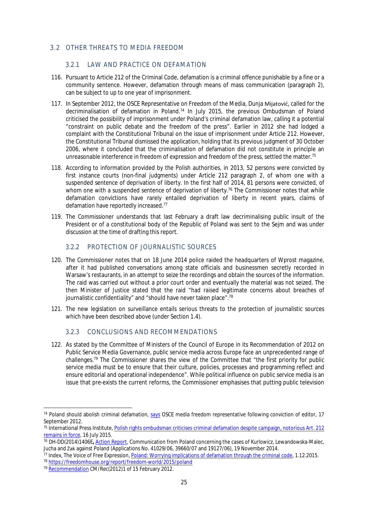# <span id="page-27-0"></span>3.2 OTHER THREATS TO MEDIA FREEDOM

# <span id="page-27-1"></span>3.2.1 LAW AND PRACTICE ON DEFAMATION

- 116. Pursuant to Article 212 of the Criminal Code, defamation is a criminal offence punishable by a fine or a community sentence. However, defamation through means of mass communication (paragraph 2), can be subject to up to one year of imprisonment.
- 117. In September 2012, the OSCE Representative on Freedom of the Media, Dunja Mijatović, called for the decriminalisation of defamation in Poland.<sup>74</sup> In July 2015, the previous Ombudsman of Poland criticised the possibility of imprisonment under Poland's criminal defamation law, calling it a potential "constraint on public debate and the freedom of the press". Earlier in 2012 she had lodged a complaint with the Constitutional Tribunal on the issue of imprisonment under Article 212. However, the Constitutional Tribunal dismissed the application, holding that its previous judgment of 30 October 2006, where it concluded that the criminalisation of defamation did not constitute in principle an unreasonable interference in freedom of expression and freedom of the press, settled the matter.<sup>75</sup>
- 118. According to information provided by the Polish authorities, in 2013, 52 persons were convicted by first instance courts (non-final judgments) under Article 212 paragraph 2, of whom one with a suspended sentence of deprivation of liberty. In the first half of 2014, 81 persons were convicted, of whom one with a suspended sentence of deprivation of liberty.<sup>76</sup> The Commissioner notes that while defamation convictions have rarely entailed deprivation of liberty in recent years, claims of defamation have reportedly increased.<sup>77</sup>
- 119. The Commissioner understands that last February a draft law decriminalising public insult of the President or of a constitutional body of the Republic of Poland was sent to the Sejm and was under discussion at the time of drafting this report.

# <span id="page-27-2"></span>3.2.2 PROTECTION OF JOURNALISTIC SOURCES

- 120. The Commissioner notes that on 18 June 2014 police raided the headquarters of *Wprost* magazine, after it had published conversations among state officials and businessmen secretly recorded in Warsaw's restaurants, in an attempt to seize the recordings and obtain the sources of the information. The raid was carried out without a prior court order and eventually the material was not seized. The then Minister of Justice stated that the raid "had raised legitimate concerns about breaches of journalistic confidentiality" and "should have never taken place".<sup>78</sup>
- 121. The new legislation on surveillance entails serious threats to the protection of journalistic sources which have been described above (under Section 1.4).

# <span id="page-27-3"></span>3.2.3 CONCLUSIONS AND RECOMMENDATIONS

122. As stated by the Committee of Ministers of the Council of Europe in its Recommendation of 2012 on Public Service Media Governance, public service media across Europe face an unprecedented range of challenges.<sup>79</sup> The Commissioner shares the view of the Committee that "the first priority for public service media must be to ensure that their culture, policies, processes and programming reflect and ensure editorial and operational independence". While political influence on public service media is an issue that pre-exists the current reforms, the Commissioner emphasises that putting public television

<sup>74</sup> Poland should abolish criminal defamation, [says](http://www.osce.org/fom/93797) OSCE media freedom representative following conviction of editor, 17 September 2012.

<sup>75</sup> International Press Institute, [Polish rights ombudsman criticises criminal defamation despite campaign, notorious Art. 212](http://legaldb.freemedia.at/2015/07/16/polish-rights-ombudsman-criticises-criminal-defamation/)  [remains in force,](http://legaldb.freemedia.at/2015/07/16/polish-rights-ombudsman-criticises-criminal-defamation/) 16 July 2015.

<sup>76</sup> DH-DD(2014)1406E**,** [Action Report](https://wcd.coe.int/ViewDoc.jsp?p=&Ref=DH-DD(2014)1406&Language=lanEnglish&Site=CM&direct=true), Communication from Poland concerning the cases of Kurlowicz, Lewandowska-Malec, Jucha and Żak against Poland (Applications No. 41029/06, 39660/07 and 19127/06), 19 November 2014.

<sup>77</sup> Index, The Voice of Free Expression, [Poland: Worrying implications of defamation through the criminal code](https://www.indexoncensorship.org/2015/12/does-criticism-equal-defamation-in-poland-the-worrying-implications-of-reputation-protection-through-the-criminal-code/), 1.12.2015. <sup>78</sup> <https://freedomhouse.org/report/freedom-world/2015/poland>

<sup>79</sup> [Recommendation](https://search.coe.int/cm/Pages/result_details.aspx?ObjectID=09000016805cb4b4) CM/Rec(2012)1 of 15 February 2012.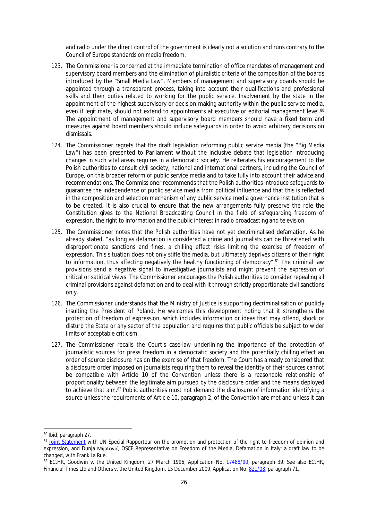and radio under the direct control of the government is clearly not a solution and runs contrary to the Council of Europe standards on media freedom.

- 123. The Commissioner is concerned at the immediate termination of office mandates of management and supervisory board members and the elimination of pluralistic criteria of the composition of the boards introduced by the "Small Media Law". Members of management and supervisory boards should be appointed through a transparent process, taking into account their qualifications and professional skills and their duties related to working for the public service. Involvement by the state in the appointment of the highest supervisory or decision-making authority within the public service media, even if legitimate, should not extend to appointments at executive or editorial management level.<sup>80</sup> The appointment of management and supervisory board members should have a fixed term and measures against board members should include safeguards in order to avoid arbitrary decisions on dismissals.
- 124. The Commissioner regrets that the draft legislation reforming public service media (the "Big Media Law") has been presented to Parliament without the inclusive debate that legislation introducing changes in such vital areas requires in a democratic society. He reiterates his encouragement to the Polish authorities to consult civil society, national and international partners, including the Council of Europe, on this broader reform of public service media and to take fully into account their advice and recommendations. The Commissioner recommends that the Polish authorities introduce safeguards to guarantee the independence of public service media from political influence and that this is reflected in the composition and selection mechanism of any public service media governance institution that is to be created. It is also crucial to ensure that the new arrangements fully preserve the role the Constitution gives to the National Broadcasting Council in the field of safeguarding freedom of expression, the right to information and the public interest in radio broadcasting and television.
- 125. The Commissioner notes that the Polish authorities have not yet decriminalised defamation. As he already stated, "as long as defamation is considered a crime and journalists can be threatened with disproportionate sanctions and fines, a chilling effect risks limiting the exercise of freedom of expression. This situation does not only stifle the media, but ultimately deprives citizens of their right to information, thus affecting negatively the healthy functioning of democracy".<sup>81</sup> The criminal law provisions send a negative signal to investigative journalists and might prevent the expression of critical or satirical views. The Commissioner encourages the Polish authorities to consider repealing all criminal provisions against defamation and to deal with it through strictly proportionate civil sanctions only.
- 126. The Commissioner understands that the Ministry of Justice is supporting decriminalisation of publicly insulting the President of Poland. He welcomes this development noting that it strengthens the protection of freedom of expression, which includes information or ideas that may offend, shock or disturb the State or any sector of the population and requires that public officials be subject to wider limits of acceptable criticism.
- 127. The Commissioner recalls the Court's case-law underlining the importance of the protection of journalistic sources for press freedom in a democratic society and the potentially chilling effect an order of source disclosure has on the exercise of that freedom. The Court has already considered that a disclosure order imposed on journalists requiring them to reveal the identity of their sources cannot be compatible with Article 10 of the Convention unless there is a reasonable relationship of proportionality between the legitimate aim pursued by the disclosure order and the means deployed to achieve that aim.<sup>82</sup> Public authorities must not demand the disclosure of information identifying a source unless the requirements of Article 10, paragraph 2, of the Convention are met and unless it can

<sup>80</sup> Ibid, paragraph 27.

<sup>81</sup> [Joint Statement](http://www.coe.int/en/web/commissioner/-/defamation-in-italy-a-draft-law-to-be-changed) with UN Special Rapporteur on the promotion and protection of the right to freedom of opinion and expression, and Dunja Mijatović, OSCE Representative on Freedom of the Media, Defamation in Italy: a draft law to be changed, with Frank La Rue.

<sup>82</sup> ECtHR, Goodwin v. the United Kingdom, 27 March 1996, Application No. [17488/90,](http://hudoc.echr.coe.int/eng?i=001-57974) paragraph 39. See also ECtHR, Financial Times Ltd and Others v. the United Kingdom, 15 December 2009, Application No. [821/03](http://hudoc.echr.coe.int/eng?i=001-96157), paragraph 71.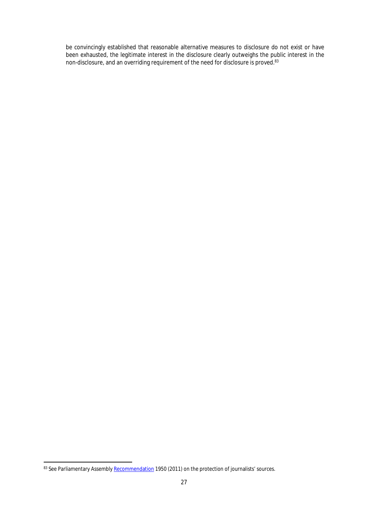be convincingly established that reasonable alternative measures to disclosure do not exist or have been exhausted, the legitimate interest in the disclosure clearly outweighs the public interest in the non-disclosure, and an overriding requirement of the need for disclosure is proved.<sup>83</sup>

<sup>83</sup> See Parliamentary Assembly [Recommendation](http://assembly.coe.int/nw/xml/XRef/Xref-XML2HTML-en.asp?fileid=17943&lang=en) 1950 (2011) on the protection of journalists' sources.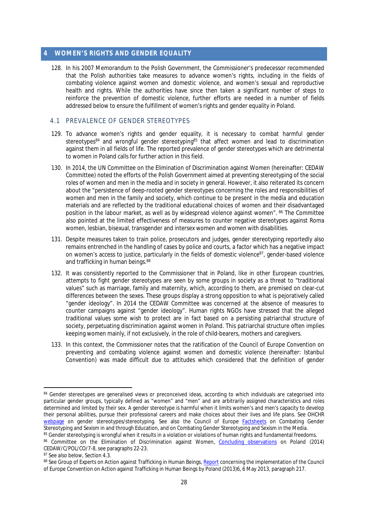#### <span id="page-30-0"></span>**4 WOMEN'S RIGHTS AND GENDER EQUALITY**

128. In his 2007 Memorandum to the Polish Government, the Commissioner's predecessor recommended that the Polish authorities take measures to advance women's rights, including in the fields of combating violence against women and domestic violence, and women's sexual and reproductive health and rights. While the authorities have since then taken a significant number of steps to reinforce the prevention of domestic violence, further efforts are needed in a number of fields addressed below to ensure the fulfillment of women's rights and gender equality in Poland.

# <span id="page-30-1"></span>4.1 PREVALENCE OF GENDER STEREOTYPES

- 129. To advance women's rights and gender equality, it is necessary to combat harmful gender stereotypes<sup>84</sup> and wrongful gender stereotyping<sup>85</sup> that affect women and lead to discrimination against them in all fields of life. The reported prevalence of gender stereotypes which are detrimental to women in Poland calls for further action in this field.
- 130. In 2014, the UN Committee on the Elimination of Discrimination against Women (hereinafter: CEDAW Committee) noted the efforts of the Polish Government aimed at preventing stereotyping of the social roles of women and men in the media and in society in general. However, it also reiterated its concern about the "persistence of deep-rooted gender stereotypes concerning the roles and responsibilities of women and men in the family and society, which continue to be present in the media and education materials and are reflected by the traditional educational choices of women and their disadvantaged position in the labour market, as well as by widespread violence against women". 86 The Committee also pointed at the limited effectiveness of measures to counter negative stereotypes against Roma women, lesbian, bisexual, transgender and intersex women and women with disabilities.
- 131. Despite measures taken to train police, prosecutors and judges, gender stereotyping reportedly also remains entrenched in the handling of cases by police and courts, a factor which has a negative impact on women's access to justice, particularly in the fields of domestic violence<sup>87</sup>, gender-based violence and trafficking in human beings. 88
- 132. It was consistently reported to the Commissioner that in Poland, like in other European countries, attempts to fight gender stereotypes are seen by some groups in society as a threat to "traditional values" such as marriage, family and maternity, which, according to them, are premised on clear-cut differences between the sexes. These groups display a strong opposition to what is pejoratively called "gender ideology". In 2014 the CEDAW Committee was concerned at the absence of measures to counter campaigns against "gender ideology". Human rights NGOs have stressed that the alleged traditional values some wish to protect are in fact based on a persisting patriarchal structure of society, perpetuating discrimination against women in Poland. This patriarchal structure often implies keeping women mainly, if not exclusively, in the role of child-bearers, mothers and caregivers.
- 133. In this context, the Commissioner notes that the ratification of the Council of Europe Convention on preventing and combating violence against women and domestic violence (hereinafter: Istanbul Convention) was made difficult due to attitudes which considered that the definition of gender

<sup>84</sup> Gender stereotypes are generalised views or preconceived ideas, according to which individuals are categorised into particular gender groups, typically defined as "women" and "men" and are arbitrarily assigned characteristics and roles determined and limited by their sex. A gender stereotype is harmful when it limits women's and men's capacity to develop their personal abilities, pursue their professional careers and make choices about their lives and life plans. See OHCHR [webpage](http://www.ohchr.org/EN/Issues/Women/WRGS/Pages/GenderStereotypes.aspx) on gender stereotypes/stereotyping. See also the Council of Europe [Factsheets](http://www.coe.int/en/web/genderequality/factsheets) on Combating Gender Stereotyping and Sexism in and through Education, and on Combating Gender Stereotyping and Sexism in the Media.

<sup>85</sup> Gender stereotyping is wrongful when it results in a violation or violations of human rights and fundamental freedoms.

<sup>86</sup> Committee on the Elimination of Discrimination against Women, [Concluding observations](http://tbinternet.ohchr.org/_layouts/treatybodyexternal/Download.aspx?symbolno=CEDAW/C/POL/CO/7-8&Lang=En) on Poland (2014) CEDAW/C/POL/CO/7-8, see paragraphs 22-23.

<sup>87</sup> See also below, Section 4.3.

<sup>88</sup> See Group of Experts on Action against Trafficking in Human Beings, [Report](http://www.coe.int/en/web/anti-human-trafficking/poland) concerning the implementation of the Council of Europe Convention on Action against Trafficking in Human Beings by Poland (2013)6, 6 May 2013, paragraph 217.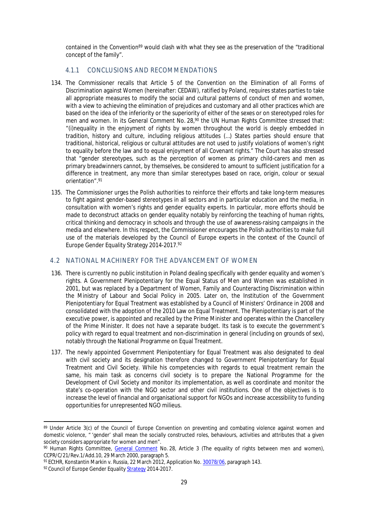contained in the Convention<sup>89</sup> would clash with what they see as the preservation of the "traditional concept of the family".

### <span id="page-31-0"></span>4.1.1 CONCLUSIONS AND RECOMMENDATIONS

- 134. The Commissioner recalls that Article 5 of the Convention on the Elimination of all Forms of Discrimination against Women (hereinafter: CEDAW), ratified by Poland, requires states parties to take all appropriate measures to modify the social and cultural patterns of conduct of men and women, with a view to achieving the elimination of prejudices and customary and all other practices which are based on the idea of the inferiority or the superiority of either of the sexes or on stereotyped roles for men and women. In its General Comment No. 28,<sup>90</sup> the UN Human Rights Committee stressed that: "(i)nequality in the enjoyment of rights by women throughout the world is deeply embedded in tradition, history and culture, including religious attitudes (…) States parties should ensure that traditional, historical, religious or cultural attitudes are not used to justify violations of women's right to equality before the law and to equal enjoyment of all Covenant rights." The Court has also stressed that "gender stereotypes, such as the perception of women as primary child-carers and men as primary breadwinners cannot, by themselves, be considered to amount to sufficient justification for a difference in treatment, any more than similar stereotypes based on race, origin, colour or sexual orientation".<sup>91</sup>
- 135. The Commissioner urges the Polish authorities to reinforce their efforts and take long-term measures to fight against gender-based stereotypes in all sectors and in particular education and the media, in consultation with women's rights and gender equality experts. In particular, more efforts should be made to deconstruct attacks on gender equality notably by reinforcing the teaching of human rights, critical thinking and democracy in schools and through the use of awareness-raising campaigns in the media and elsewhere. In this respect, the Commissioner encourages the Polish authorities to make full use of the materials developed by the Council of Europe experts in the context of the Council of Europe Gender Equality Strategy 2014-2017.<sup>92</sup>

# <span id="page-31-1"></span>4.2 NATIONAL MACHINERY FOR THE ADVANCEMENT OF WOMEN

- 136. There is currently no public institution in Poland dealing specifically with gender equality and women's rights. A Government Plenipotentiary for the Equal Status of Men and Women was established in 2001, but was replaced by a Department of Women, Family and Counteracting Discrimination within the Ministry of Labour and Social Policy in 2005. Later on, the Institution of the Government Plenipotentiary for Equal Treatment was established by a Council of Ministers' Ordinance in 2008 and consolidated with the adoption of the 2010 Law on Equal Treatment. The Plenipotentiary is part of the executive power, is appointed and recalled by the Prime Minister and operates within the Chancellery of the Prime Minister. It does not have a separate budget. Its task is to execute the government's policy with regard to equal treatment and non-discrimination in general (including on grounds of sex), notably through the National Programme on Equal Treatment.
- 137. The newly appointed Government Plenipotentiary for Equal Treatment was also designated to deal with civil society and its designation therefore changed to Government Plenipotentiary for Equal Treatment and Civil Society. While his competencies with regards to equal treatment remain the same, his main task as concerns civil society is to prepare the National Programme for the Development of Civil Society and monitor its implementation, as well as coordinate and monitor the state's co-operation with the NGO sector and other civil institutions. One of the objectives is to increase the level of financial and organisational support for NGOs and increase accessibility to funding opportunities for unrepresented NGO milieus.

<sup>89</sup> Under Article 3(c) of the Council of Europe Convention on preventing and combating violence against women and domestic violence, " 'gender' shall mean the socially constructed roles, behaviours, activities and attributes that a given society considers appropriate for women and men".

<sup>90</sup> Human Rights Committee, [General Comment](http://tbinternet.ohchr.org/_layouts/treatybodyexternal/Download.aspx?symbolno=CCPR%2fC%2f21%2fRev.1%2fAdd.10&Lang=en) No. 28, Article 3 (The equality of rights between men and women), CCPR/C/21/Rev.1/Add.10, 29 March 2000, paragraph 5.

<sup>&</sup>lt;sup>91</sup> ECtHR, [Konstantin Markin v. Russia](http://hudoc.echr.coe.int/eng?i=001-109868), 22 March 2012, Application No. [30078/06,](http://hudoc.echr.coe.int/eng?i=001-109868) paragraph 143.

<sup>&</sup>lt;sup>92</sup> Council of Europe Gender Equality [Strategy](http://www.coe.int/t/dghl/standardsetting/equality/02_GenderEqualityProgramme/Council%20of%20Europe%20Gender%20Equality%20Strategy%202014-2017.pdf) 2014-2017.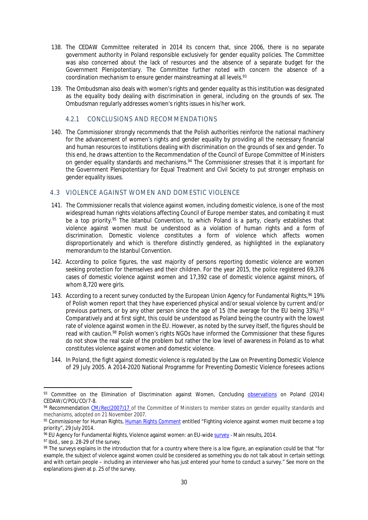- 138. The CEDAW Committee reiterated in 2014 its concern that, since 2006, there is no separate government authority in Poland responsible exclusively for gender equality policies. The Committee was also concerned about the lack of resources and the absence of a separate budget for the Government Plenipotentiary. The Committee further noted with concern the absence of a coordination mechanism to ensure gender mainstreaming at all levels.<sup>93</sup>
- 139. The Ombudsman also deals with women's rights and gender equality as this institution was designated as the equality body dealing with discrimination in general, including on the grounds of sex. The Ombudsman regularly addresses women's rights issues in his/her work.

#### <span id="page-32-0"></span>4.2.1 CONCLUSIONS AND RECOMMENDATIONS

140. The Commissioner strongly recommends that the Polish authorities reinforce the national machinery for the advancement of women's rights and gender equality by providing all the necessary financial and human resources to institutions dealing with discrimination on the grounds of sex and gender. To this end, he draws attention to the Recommendation of the Council of Europe Committee of Ministers on gender equality standards and mechanisms.<sup>94</sup> The Commissioner stresses that it is important for the Government Plenipotentiary for Equal Treatment and Civil Society to put stronger emphasis on gender equality issues.

# <span id="page-32-1"></span>4.3 VIOLENCE AGAINST WOMEN AND DOMESTIC VIOLENCE

- 141. The Commissioner recalls that violence against women, including domestic violence, is one of the most widespread human rights violations affecting Council of Europe member states, and combating it must be a top priority.<sup>95</sup> The Istanbul Convention, to which Poland is a party, clearly establishes that violence against women must be understood as a violation of human rights and a form of discrimination. Domestic violence constitutes a form of violence which affects women disproportionately and which is therefore distinctly gendered, as highlighted in the explanatory memorandum to the Istanbul Convention.
- 142. According to police figures, the vast majority of persons reporting domestic violence are women seeking protection for themselves and their children. For the year 2015, the police registered 69,376 cases of domestic violence against women and 17,392 case of domestic violence against minors, of whom 8,720 were girls.
- 143. According to a recent survey conducted by the European Union Agency for Fundamental Rights, % 19% of Polish women report that they have experienced physical and/or sexual violence by current and/or previous partners, or by any other person since the age of 15 (the average for the EU being 33%).<sup>97</sup> Comparatively and at first sight, this could be understood as Poland being the country with the lowest rate of violence against women in the EU. However, as noted by the survey itself, the figures should be read with caution.<sup>98</sup> Polish women's rights NGOs have informed the Commissioner that these figures do not show the real scale of the problem but rather the low level of awareness in Poland as to what constitutes violence against women and domestic violence.
- 144. In Poland, the fight against domestic violence is regulated by the Law on Preventing Domestic Violence of 29 July 2005. A 2014-2020 National Programme for Preventing Domestic Violence foresees actions

97 Ibid., see p. 28-29 of the survey.

<sup>93</sup> Committee on the Elimination of Discrimination against Women, Concluding **observations** on Poland (2014) CEDAW/C/POL/CO/7-8.

<sup>94</sup> Recommendation [CM/Rec\(2007\)17](https://wcd.coe.int/ViewDoc.jsp?id=1215219&Site=CM&BackColorInternet=C3C3C3&BackColorIntranet=EDB021&BackColorLogged=F5D383.asp) of the Committee of Ministers to member states on gender equality standards and mechanisms, adopted on 21 November 2007.

<sup>95</sup> Commissioner for Human Rights, [Human Rights Comment](http://www.coe.int/en/web/commissioner/-/fighting-violence-against-women-must-become-a-top-priority) entitled "Fighting violence against women must become a top priority", 29 July 2014.

<sup>96</sup> EU Agency for Fundamental Rights, Violence against women: an EU-wide [survey](http://fra.europa.eu/sites/default/files/fra-2014-vaw-survey-main-results-apr14_en.pdf) - Main results, 2014.

<sup>98</sup> The surveys explains in the introduction that for a country where there is a low figure, an explanation could be that "for example, the subject of violence against women could be considered as something you do not talk about in certain settings and with certain people – including an interviewer who has just entered your home to conduct a survey." See more on the explanations given at p. 25 of the survey.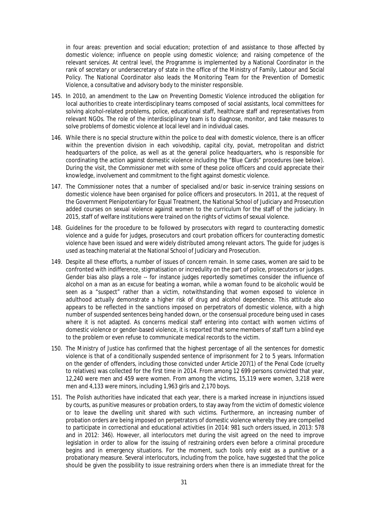in four areas: prevention and social education; protection of and assistance to those affected by domestic violence; influence on people using domestic violence; and raising competence of the relevant services. At central level, the Programme is implemented by a National Coordinator in the rank of secretary or undersecretary of state in the office of the Ministry of Family, Labour and Social Policy. The National Coordinator also leads the Monitoring Team for the Prevention of Domestic Violence, a consultative and advisory body to the minister responsible.

- 145. In 2010, an amendment to the Law on Preventing Domestic Violence introduced the obligation for local authorities to create interdisciplinary teams composed of social assistants, local committees for solving alcohol-related problems, police, educational staff, healthcare staff and representatives from relevant NGOs. The role of the interdisciplinary team is to diagnose, monitor, and take measures to solve problems of domestic violence at local level and in individual cases.
- 146. While there is no special structure within the police to deal with domestic violence, there is an officer within the prevention division in each *voivodship*, capital city, *poviat*, metropolitan and district headquarters of the police, as well as at the general police headquarters, who is responsible for coordinating the action against domestic violence including the "Blue Cards" procedures (see below). During the visit, the Commissioner met with some of these police officers and could appreciate their knowledge, involvement and commitment to the fight against domestic violence.
- 147. The Commissioner notes that a number of specialised and/or basic in-service training sessions on domestic violence have been organised for police officers and prosecutors. In 2011, at the request of the Government Plenipotentiary for Equal Treatment, the National School of Judiciary and Prosecution added courses on sexual violence against women to the curriculum for the staff of the judiciary. In 2015, staff of welfare institutions were trained on the rights of victims of sexual violence.
- 148. Guidelines for the procedure to be followed by prosecutors with regard to counteracting domestic violence and a guide for judges, prosecutors and court probation officers for counteracting domestic violence have been issued and were widely distributed among relevant actors. The guide for judges is used as teaching material at the National School of Judiciary and Prosecution.
- 149. Despite all these efforts, a number of issues of concern remain. In some cases, women are said to be confronted with indifference, stigmatisation or incredulity on the part of police, prosecutors or judges. Gender bias also plays a role -- for instance judges reportedly sometimes consider the influence of alcohol on a man as an excuse for beating a woman, while a woman found to be alcoholic would be seen as a "suspect" rather than a victim, notwithstanding that women exposed to violence in adulthood actually demonstrate a higher risk of drug and alcohol dependence. This attitude also appears to be reflected in the sanctions imposed on perpetrators of domestic violence, with a high number of suspended sentences being handed down, or the consensual procedure being used in cases where it is not adapted. As concerns medical staff entering into contact with women victims of domestic violence or gender-based violence, it is reported that some members of staff turn a blind eye to the problem or even refuse to communicate medical records to the victim.
- 150. The Ministry of Justice has confirmed that the highest percentage of all the sentences for domestic violence is that of a conditionally suspended sentence of imprisonment for 2 to 5 years. Information on the gender of offenders, including those convicted under Article 207(1) of the Penal Code (cruelty to relatives) was collected for the first time in 2014. From among 12 699 persons convicted that year, 12,240 were men and 459 were women. From among the victims, 15,119 were women, 3,218 were men and 4,133 were minors, including 1,963 girls and 2,170 boys.
- 151. The Polish authorities have indicated that each year, there is a marked increase in injunctions issued by courts, as punitive measures or probation orders, to stay away from the victim of domestic violence or to leave the dwelling unit shared with such victims. Furthermore, an increasing number of probation orders are being imposed on perpetrators of domestic violence whereby they are compelled to participate in correctional and educational activities (in 2014: 981 such orders issued, in 2013: 578 and in 2012: 346). However, all interlocutors met during the visit agreed on the need to improve legislation in order to allow for the issuing of restraining orders even before a criminal procedure begins and in emergency situations. For the moment, such tools only exist as a punitive or a probationary measure. Several interlocutors, including from the police, have suggested that the police should be given the possibility to issue restraining orders when there is an immediate threat for the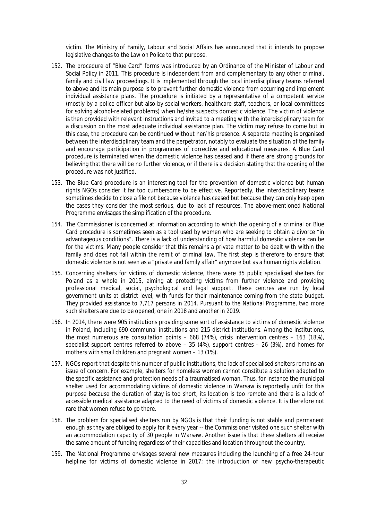victim. The Ministry of Family, Labour and Social Affairs has announced that it intends to propose legislative changes to the Law on Police to that purpose.

- 152. The procedure of "Blue Card" forms was introduced by an Ordinance of the Minister of Labour and Social Policy in 2011. This procedure is independent from and complementary to any other criminal, family and civil law proceedings. It is implemented through the local interdisciplinary teams referred to above and its main purpose is to prevent further domestic violence from occurring and implement individual assistance plans. The procedure is initiated by a representative of a competent service (mostly by a police officer but also by social workers, healthcare staff, teachers, or local committees for solving alcohol-related problems) when he/she suspects domestic violence. The victim of violence is then provided with relevant instructions and invited to a meeting with the interdisciplinary team for a discussion on the most adequate individual assistance plan. The victim may refuse to come but in this case, the procedure can be continued without her/his presence. A separate meeting is organised between the interdisciplinary team and the perpetrator, notably to evaluate the situation of the family and encourage participation in programmes of corrective and educational measures. A Blue Card procedure is terminated when the domestic violence has ceased and if there are strong grounds for believing that there will be no further violence, or if there is a decision stating that the opening of the procedure was not justified.
- 153. The Blue Card procedure is an interesting tool for the prevention of domestic violence but human rights NGOs consider it far too cumbersome to be effective. Reportedly, the interdisciplinary teams sometimes decide to close a file not because violence has ceased but because they can only keep open the cases they consider the most serious, due to lack of resources. The above-mentioned National Programme envisages the simplification of the procedure.
- 154. The Commissioner is concerned at information according to which the opening of a criminal or Blue Card procedure is sometimes seen as a tool used by women who are seeking to obtain a divorce "in advantageous conditions". There is a lack of understanding of how harmful domestic violence can be for the victims. Many people consider that this remains a private matter to be dealt with within the family and does not fall within the remit of criminal law. The first step is therefore to ensure that domestic violence is not seen as a "private and family affair" anymore but as a human rights violation.
- 155. Concerning shelters for victims of domestic violence, there were 35 public specialised shelters for Poland as a whole in 2015, aiming at protecting victims from further violence and providing professional medical, social, psychological and legal support. These centres are run by local government units at district level, with funds for their maintenance coming from the state budget. They provided assistance to 7,717 persons in 2014. Pursuant to the National Programme, two more such shelters are due to be opened, one in 2018 and another in 2019.
- 156. In 2014, there were 905 institutions providing some sort of assistance to victims of domestic violence in Poland, including 690 communal institutions and 215 district institutions. Among the institutions, the most numerous are consultation points – 668 (74%), crisis intervention centres – 163 (18%), specialist support centres referred to above – 35 (4%), support centres – 26 (3%), and homes for mothers with small children and pregnant women – 13 (1%).
- 157. NGOs report that despite this number of public institutions, the lack of specialised shelters remains an issue of concern. For example, shelters for homeless women cannot constitute a solution adapted to the specific assistance and protection needs of a traumatised woman. Thus, for instance the municipal shelter used for accommodating victims of domestic violence in Warsaw is reportedly unfit for this purpose because the duration of stay is too short, its location is too remote and there is a lack of accessible medical assistance adapted to the need of victims of domestic violence. It is therefore not rare that women refuse to go there.
- 158. The problem for specialised shelters run by NGOs is that their funding is not stable and permanent enough as they are obliged to apply for it every year -- the Commissioner visited one such shelter with an accommodation capacity of 30 people in Warsaw. Another issue is that these shelters all receive the same amount of funding regardless of their capacities and location throughout the country.
- 159. The National Programme envisages several new measures including the launching of a free 24-hour helpline for victims of domestic violence in 2017; the introduction of new psycho-therapeutic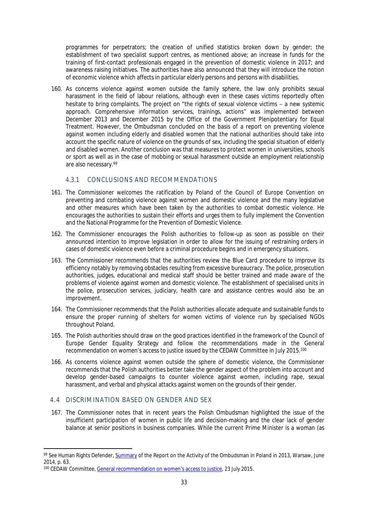programmes for perpetrators; the creation of unified statistics broken down by gender; the establishment of two specialist support centres, as mentioned above; an increase in funds for the training of first-contact professionals engaged in the prevention of domestic violence in 2017; and awareness raising initiatives. The authorities have also announced that they will introduce the notion of economic violence which affects in particular elderly persons and persons with disabilities.

160. As concerns violence against women outside the family sphere, the law only prohibits sexual harassment in the field of labour relations, although even in these cases victims reportedly often hesitate to bring complaints. The project on "the rights of sexual violence victims  $-$  a new systemic approach. Comprehensive information services, trainings, actions" was implemented between December 2013 and December 2015 by the Office of the Government Plenipotentiary for Equal Treatment. However, the Ombudsman concluded on the basis of a report on preventing violence against women including elderly and disabled women that the national authorities should take into account the specific nature of violence on the grounds of sex, including the special situation of elderly and disabled women. Another conclusion was that measures to protect women in universities, schools or sport as well as in the case of mobbing or sexual harassment outside an employment relationship are also necessary.<sup>99</sup>

# <span id="page-35-0"></span>4.3.1 CONCLUSIONS AND RECOMMENDATIONS

- 161. The Commissioner welcomes the ratification by Poland of the Council of Europe Convention on preventing and combating violence against women and domestic violence and the many legislative and other measures which have been taken by the authorities to combat domestic violence. He encourages the authorities to sustain their efforts and urges them to fully implement the Convention and the National Programme for the Prevention of Domestic Violence.
- 162. The Commissioner encourages the Polish authorities to follow-up as soon as possible on their announced intention to improve legislation in order to allow for the issuing of restraining orders in cases of domestic violence even before a criminal procedure begins and in emergency situations.
- 163. The Commissioner recommends that the authorities review the Blue Card procedure to improve its efficiency notably by removing obstacles resulting from excessive bureaucracy. The police, prosecution authorities, judges, educational and medical staff should be better trained and made aware of the problems of violence against women and domestic violence. The establishment of specialised units in the police, prosecution services, judiciary, health care and assistance centres would also be an improvement.
- 164. The Commissioner recommends that the Polish authorities allocate adequate and sustainable funds to ensure the proper running of shelters for women victims of violence run by specialised NGOs throughout Poland.
- 165. The Polish authorities should draw on the good practices identified in the framework of the Council of Europe Gender Equality Strategy and follow the recommendations made in the General recommendation on women's access to justice issued by the CEDAW Committee in July 2015.<sup>100</sup>
- 166. As concerns violence against women outside the sphere of domestic violence, the Commissioner recommends that the Polish authorities better take the gender aspect of the problem into account and develop gender-based campaigns to counter violence against women, including rape, sexual harassment, and verbal and physical attacks against women on the grounds of their gender.

#### <span id="page-35-1"></span>4.4 DISCRIMINATION BASED ON GENDER AND SEX

167. The Commissioner notes that in recent years the Polish Ombudsman highlighted the issue of the insufficient participation of women in public life and decision-making and the clear lack of gender balance at senior positions in business companies. While the current Prime Minister is a woman (as

<sup>99</sup> See Human Rights Defender, [Summary](https://www.rpo.gov.pl/en/content/summary-report-activity-ombudsman-poland-2013-remarks-observance-human-and-civil-rights-and) of the Report on the Activity of the Ombudsman in Poland in 2013, Warsaw, June 2014, p. 63.

<sup>100</sup> CEDAW Committee, [General recommendation on women's access to justice](http://tbinternet.ohchr.org/Treaties/CEDAW/Shared%20Documents/1_Global/CEDAW_C_GC_33_7767_E.pdf), 23 July 2015.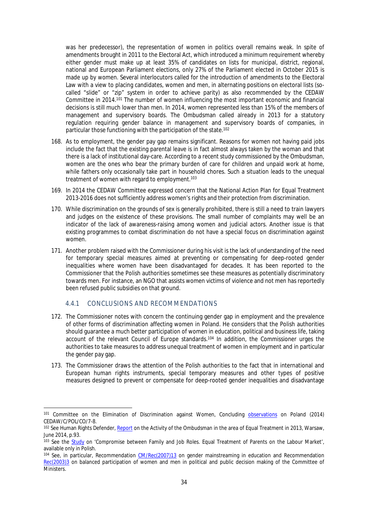was her predecessor), the representation of women in politics overall remains weak. In spite of amendments brought in 2011 to the Electoral Act, which introduced a minimum requirement whereby either gender must make up at least 35% of candidates on lists for municipal, district, regional, national and European Parliament elections, only 27% of the Parliament elected in October 2015 is made up by women. Several interlocutors called for the introduction of amendments to the Electoral Law with a view to placing candidates, women and men, in alternating positions on electoral lists (socalled "slide" or "zip" system in order to achieve parity) as also recommended by the CEDAW Committee in 2014.<sup>101</sup> The number of women influencing the most important economic and financial decisions is still much lower than men. In 2014, women represented less than 15% of the members of management and supervisory boards. The Ombudsman called already in 2013 for a statutory regulation requiring gender balance in management and supervisory boards of companies, in particular those functioning with the participation of the state.<sup>102</sup>

- 168. As to employment, the gender pay gap remains significant. Reasons for women not having paid jobs include the fact that the existing parental leave is in fact almost always taken by the woman and that there is a lack of institutional day-care. According to a recent study commissioned by the Ombudsman, women are the ones who bear the primary burden of care for children and unpaid work at home, while fathers only occasionally take part in household chores. Such a situation leads to the unequal treatment of women with regard to employment.<sup>103</sup>
- 169. In 2014 the CEDAW Committee expressed concern that the National Action Plan for Equal Treatment 2013-2016 does not sufficiently address women's rights and their protection from discrimination.
- 170. While discrimination on the grounds of sex is generally prohibited, there is still a need to train lawyers and judges on the existence of these provisions. The small number of complaints may well be an indicator of the lack of awareness-raising among women and judicial actors. Another issue is that existing programmes to combat discrimination do not have a special focus on discrimination against women.
- 171. Another problem raised with the Commissioner during his visit is the lack of understanding of the need for temporary special measures aimed at preventing or compensating for deep-rooted gender inequalities where women have been disadvantaged for decades. It has been reported to the Commissioner that the Polish authorities sometimes see these measures as potentially discriminatory towards men. For instance, an NGO that assists women victims of violence and not men has reportedly been refused public subsidies on that ground.

#### <span id="page-36-0"></span>4.4.1 CONCLUSIONS AND RECOMMENDATIONS

- 172. The Commissioner notes with concern the continuing gender gap in employment and the prevalence of other forms of discrimination affecting women in Poland. He considers that the Polish authorities should guarantee a much better participation of women in education, political and business life, taking account of the relevant Council of Europe standards.<sup>104</sup> In addition, the Commissioner urges the authorities to take measures to address unequal treatment of women in employment and in particular the gender pay gap.
- 173. The Commissioner draws the attention of the Polish authorities to the fact that in international and European human rights instruments, special temporary measures and other types of positive measures designed to prevent or compensate for deep-rooted gender inequalities and disadvantage

<sup>101</sup> Committee on the Elimination of Discrimination against Women, Concluding [observations](http://tbinternet.ohchr.org/_layouts/treatybodyexternal/Download.aspx?symbolno=CEDAW/C/POL/CO/7-8&Lang=En) on Poland (2014) CEDAW/C/POL/CO/7-8.

<sup>102</sup> See Human Rights Defender, [Report](https://www.rpo.gov.pl/en/content/report-activity-human-rights-defender-ombudsman-poland-area-equal-treatment-2013-and) on the Activity of the Ombudsman in the area of Equal Treatment in 2013, Warsaw, June 2014, p.93.

<sup>103</sup> See the [Study](https://www.rpo.gov.pl/pl/content/wystapienie-do-ministra-rodziny-pracy-i-polityki-spolecznej-ws-rownego-traktowania-rodzicow-na-rynku-pracy) on 'Compromise between Family and Job Roles. Equal Treatment of Parents on the Labour Market', available only in Polish.

<sup>104</sup> See, in particular, Recommendation [CM/Rec\(2007\)13](https://wcd.coe.int/ViewDoc.jsp?id=1194631&Site=CM) on gender mainstreaming in education and Recommendation [Rec\(2003\)3](https://wcd.coe.int/ViewDoc.jsp?Ref=Rec%282003%293&Language=lanEnglish&Site=CM&BackColorInternet=DBDCF2&BackColorIntranet=FDC864&BackColorLogged=FDC864) on balanced participation of women and men in political and public decision making of the Committee of Ministers.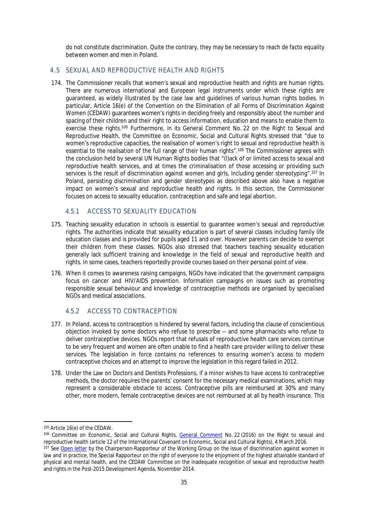do not constitute discrimination. Quite the contrary, they may be necessary to reach *de facto* equality between women and men in Poland.

# <span id="page-37-0"></span>4.5 SEXUAL AND REPRODUCTIVE HEALTH AND RIGHTS

174. The Commissioner recalls that women's sexual and reproductive health and rights are human rights. There are numerous international and European legal instruments under which these rights are guaranteed, as widely illustrated by the case law and guidelines of various human rights bodies. In particular, Article 16(e) of the Convention on the Elimination of all Forms of Discrimination Against Women (CEDAW) guarantees women's rights in deciding freely and responsibly about the number and spacing of their children and their right to access information, education and means to enable them to exercise these rights.<sup>105</sup> Furthermore, in its General Comment No. 22 on the Right to Sexual and Reproductive Health, the Committee on Economic, Social and Cultural Rights stressed that "due to women's reproductive capacities, the realisation of women's right to sexual and reproductive health is essential to the realisation of the full range of their human rights".<sup>106</sup> The Commissioner agrees with the conclusion held by several UN Human Rights bodies that "(l)ack of or limited access to sexual and reproductive health services, and at times the criminalisation of those accessing or providing such services is the result of discrimination against women and girls, including gender stereotyping".<sup>107</sup> In Poland, persisting discrimination and gender stereotypes as described above also have a negative impact on women's sexual and reproductive health and rights. In this section, the Commissioner focuses on access to sexuality education, contraception and safe and legal abortion.

# <span id="page-37-1"></span>4.5.1 ACCESS TO SEXUALITY EDUCATION

- 175. Teaching sexuality education in schools is essential to guarantee women's sexual and reproductive rights. The authorities indicate that sexuality education is part of several classes including family life education classes and is provided for pupils aged 11 and over. However parents can decide to exempt their children from these classes. NGOs also stressed that teachers teaching sexuality education generally lack sufficient training and knowledge in the field of sexual and reproductive health and rights. In some cases, teachers reportedly provide courses based on their personal point of view.
- 176. When it comes to awareness raising campaigns, NGOs have indicated that the government campaigns focus on cancer and HIV/AIDS prevention. Information campaigns on issues such as promoting responsible sexual behaviour and knowledge of contraceptive methods are organised by specialised NGOs and medical associations.

# <span id="page-37-2"></span>4.5.2 ACCESS TO CONTRACEPTION

- 177. In Poland, access to contraception is hindered by several factors, including the clause of conscientious objection invoked by some doctors who refuse to prescribe -- and some pharmacists who refuse to deliver contraceptive devices. NGOs report that refusals of reproductive health care services continue to be very frequent and women are often unable to find a health care provider willing to deliver these services. The legislation in force contains no references to ensuring women's access to modern contraceptive choices and an attempt to improve the legislation in this regard failed in 2012.
- 178. Under the Law on Doctors and Dentists Professions, if a minor wishes to have access to contraceptive methods, the doctor requires the parents' consent for the necessary medical examinations, which may represent a considerable obstacle to access. Contraceptive pills are reimbursed at 30% and many other, more modern, female contraceptive devices are not reimbursed at all by health insurance. This

<sup>105</sup> Article 16(e) of the CEDAW.

<sup>106</sup> Committee on Economic, Social and Cultural Rights, [General Comment](http://tbinternet.ohchr.org/_layouts/treatybodyexternal/Download.aspx?symbolno=E%2fC.12%2fGC%2f22&Lang=en) No. 22 (2016) on the Right to sexual and reproductive health (article 12 of the International Covenant on Economic, Social and Cultural Rights), 4 March 2016.

<sup>&</sup>lt;sup>107</sup> See [Open letter](http://www.ohchr.org/Documents/Issues/Women/WRGS/OpenLetter4Nov2014.pdf) by the Chairperson-Rapporteur of the Working Group on the issue of discrimination against women in law and in practice, the Special Rapporteur on the right of everyone to the enjoyment of the highest attainable standard of physical and mental health, and the CEDAW Committee on the inadequate recognition of sexual and reproductive health and rights in the Post-2015 Development Agenda, November 2014.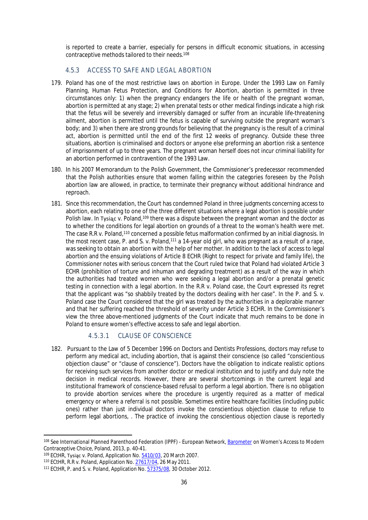is reported to create a barrier, especially for persons in difficult economic situations, in accessing contraceptive methods tailored to their needs.<sup>108</sup>

# <span id="page-38-0"></span>4.5.3 ACCESS TO SAFE AND LEGAL ABORTION

- 179. Poland has one of the most restrictive laws on abortion in Europe. Under the 1993 Law on Family Planning, Human Fetus Protection, and Conditions for Abortion, abortion is permitted in three circumstances only: 1) when the pregnancy endangers the life or health of the pregnant woman, abortion is permitted at any stage; 2) when prenatal tests or other medical findings indicate a high risk that the fetus will be severely and irreversibly damaged or suffer from an incurable life-threatening ailment, abortion is permitted until the fetus is capable of surviving outside the pregnant woman's body; and 3) when there are strong grounds for believing that the pregnancy is the result of a criminal act, abortion is permitted until the end of the first 12 weeks of pregnancy. Outside these three situations, abortion is criminalised and doctors or anyone else preforming an abortion risk a sentence of imprisonment of up to three years. The pregnant woman herself does not incur criminal liability for an abortion performed in contravention of the 1993 Law.
- 180. In his 2007 Memorandum to the Polish Government, the Commissioner's predecessor recommended that the Polish authorities ensure that women falling within the categories foreseen by the Polish abortion law are allowed, in practice, to terminate their pregnancy without additional hindrance and reproach.
- 181. Since this recommendation, the Court has condemned Poland in three judgments concerning access to abortion, each relating to one of the three different situations where a legal abortion is possible under Polish law. In Tysiac v. Poland,<sup>109</sup> there was a dispute between the pregnant woman and the doctor as to whether the conditions for legal abortion on grounds of a threat to the woman's health were met. The case R.R v. Poland,<sup>110</sup> concerned a possible fetus malformation confirmed by an initial diagnosis. In the most recent case, P. and S. v. Poland,<sup>111</sup> a 14-year old girl, who was pregnant as a result of a rape, was seeking to obtain an abortion with the help of her mother. In addition to the lack of access to legal abortion and the ensuing violations of Article 8 ECHR (Right to respect for private and family life), the Commissioner notes with serious concern that the Court ruled twice that Poland had violated Article 3 ECHR (prohibition of torture and inhuman and degrading treatment) as a result of the way in which the authorities had treated women who were seeking a legal abortion and/or a prenatal genetic testing in connection with a legal abortion. In the R.R v. Poland case, the Court expressed its regret that the applicant was "so shabbily treated by the doctors dealing with her case". In the P. and S. v. Poland case the Court considered that the girl was treated by the authorities in a deplorable manner and that her suffering reached the threshold of severity under Article 3 ECHR. In the Commissioner's view the three above-mentioned judgments of the Court indicate that much remains to be done in Poland to ensure women's effective access to safe and legal abortion.

# <span id="page-38-1"></span>4.5.3.1 CLAUSE OF CONSCIENCE

182. Pursuant to the Law of 5 December 1996 on Doctors and Dentists Professions, doctors may refuse to perform any medical act, including abortion, that is against their conscience (so called "conscientious objection clause" or "clause of conscience"). Doctors have the obligation to indicate realistic options for receiving such services from another doctor or medical institution and to justify and duly note the decision in medical records. However, there are several shortcomings in the current legal and institutional framework of conscience-based refusal to perform a legal abortion. There is no obligation to provide abortion services where the procedure is urgently required as a matter of medical emergency or where a referral is not possible. Sometimes entire healthcare facilities (including public ones) rather than just individual doctors invoke the conscientious objection clause to refuse to perform legal abortions, . The practice of invoking the conscientious objection clause is reportedly

<sup>108</sup> See International Planned Parenthood Federation (IPPF) - European Network, [Barometer](http://www.ippfen.org/resources/barometer-womens-access-modern-contraceptive-choice) on Women's Access to Modern Contraceptive Choice, Poland, 2013, p. 40-41.

<sup>&</sup>lt;sup>109</sup> ECtHR, Tysiąc v. Poland, Application No. [5410/03](http://hudoc.echr.coe.int/eng?i=001-79812), 20 March 2007.

<sup>110</sup> ECtHR, R.R v. Poland, Application No. [27617/04](http://hudoc.echr.coe.int/eng?i=001-104911), 26 May 2011.

<sup>111</sup> ECtHR, P. and S. v. Poland, Application No. [57375/08,](http://hudoc.echr.coe.int/eng?i=001-114098) 30 October 2012.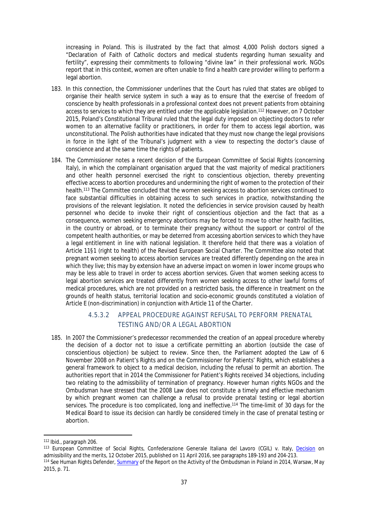increasing in Poland. This is illustrated by the fact that almost 4,000 Polish doctors signed a "Declaration of Faith of Catholic doctors and medical students regarding human sexuality and fertility", expressing their commitments to following "divine law" in their professional work. NGOs report that in this context, women are often unable to find a health care provider willing to perform a legal abortion.

- 183. In this connection, the Commissioner underlines that the Court has ruled that states are obliged to organise their health service system in such a way as to ensure that the exercise of freedom of conscience by health professionals in a professional context does not prevent patients from obtaining access to services to which they are entitled under the applicable legislation.<sup>112</sup> However, on 7 October 2015, Poland's Constitutional Tribunal ruled that the legal duty imposed on objecting doctors to refer women to an alternative facility or practitioners, in order for them to access legal abortion, was unconstitutional. The Polish authorities have indicated that they must now change the legal provisions in force in the light of the Tribunal's judgment with a view to respecting the doctor's clause of conscience and at the same time the rights of patients.
- 184. The Commissioner notes a recent decision of the European Committee of Social Rights (concerning Italy), in which the complainant organisation argued that the vast majority of medical practitioners and other health personnel exercised the right to conscientious objection, thereby preventing effective access to abortion procedures and undermining the right of women to the protection of their health.<sup>113</sup> The Committee concluded that the women seeking access to abortion services continued to face substantial difficulties in obtaining access to such services in practice, notwithstanding the provisions of the relevant legislation. It noted the deficiencies in service provision caused by health personnel who decide to invoke their right of conscientious objection and the fact that as a consequence, women seeking emergency abortions may be forced to move to other health facilities, in the country or abroad, or to terminate their pregnancy without the support or control of the competent health authorities, or may be deterred from accessing abortion services to which they have a legal entitlement in line with national legislation. It therefore held that there was a violation of Article 11§1 (right to health) of the Revised European Social Charter. The Committee also noted that pregnant women seeking to access abortion services are treated differently depending on the area in which they live; this may by extension have an adverse impact on women in lower income groups who may be less able to travel in order to access abortion services. Given that women seeking access to legal abortion services are treated differently from women seeking access to other lawful forms of medical procedures, which are not provided on a restricted basis, the difference in treatment on the grounds of health status, territorial location and socio-economic grounds constituted a violation of Article E (non-discrimination) in conjunction with Article 11 of the Charter.

# <span id="page-39-0"></span>4.5.3.2 APPEAL PROCEDURE AGAINST REFUSAL TO PERFORM PRENATAL TESTING AND/OR A LEGAL ABORTION

185. In 2007 the Commissioner's predecessor recommended the creation of an appeal procedure whereby the decision of a doctor not to issue a certificate permitting an abortion (outside the case of conscientious objection) be subject to review. Since then, the Parliament adopted the Law of 6 November 2008 on Patient's Rights and on the Commissioner for Patients' Rights, which establishes a general framework to object to a medical decision, including the refusal to permit an abortion. The authorities report that in 2014 the Commissioner for Patient's Rights received 34 objections, including two relating to the admissibility of termination of pregnancy. However human rights NGOs and the Ombudsman have stressed that the 2008 Law does not constitute a timely and effective mechanism by which pregnant women can challenge a refusal to provide prenatal testing or legal abortion services. The procedure is too complicated, long and ineffective.<sup>114</sup> The time-limit of 30 days for the Medical Board to issue its decision can hardly be considered timely in the case of prenatal testing or abortion.

<sup>112</sup> Ibid., paragraph 206.

<sup>113</sup> European Committee of Social Rights, Confederazione Generale Italiana del Lavoro (CGIL) v. Italy, [Decision](http://hudoc.esc.coe.int/fre/?i=cc-91-2013-dadmissandmerits-en#{) on admissibility and the merits, 12 October 2015, published on 11 April 2016, see paragraphs 189-193 and 204-213. <sup>114</sup> See Human Rights Defender, [Summary](https://www.rpo.gov.pl/en/content/summary-report-activity-ombudsman-poland-2014) of the Report on the Activity of the Ombudsman in Poland in 2014, Warsaw, May 2015, p. 71.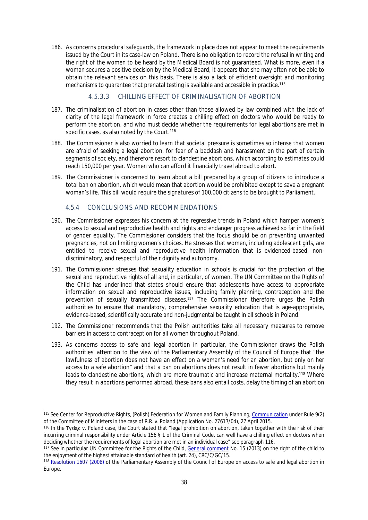186. As concerns procedural safeguards, the framework in place does not appear to meet the requirements issued by the Court in its case-law on Poland. There is no obligation to record the refusal in writing and the right of the women to be heard by the Medical Board is not guaranteed. What is more, even if a woman secures a positive decision by the Medical Board, it appears that she may often not be able to obtain the relevant services on this basis. There is also a lack of efficient oversight and monitoring mechanisms to guarantee that prenatal testing is available and accessible in practice.<sup>115</sup>

# <span id="page-40-0"></span>4.5.3.3 CHILLING EFFECT OF CRIMINALISATION OF ABORTION

- 187. The criminalisation of abortion in cases other than those allowed by law combined with the lack of clarity of the legal framework in force creates a chilling effect on doctors who would be ready to perform the abortion, and who must decide whether the requirements for legal abortions are met in specific cases, as also noted by the Court.<sup>116</sup>
- 188. The Commissioner is also worried to learn that societal pressure is sometimes so intense that women are afraid of seeking a legal abortion, for fear of a backlash and harassment on the part of certain segments of society, and therefore resort to clandestine abortions, which according to estimates could reach 150,000 per year. Women who can afford it financially travel abroad to abort.
- 189. The Commissioner is concerned to learn about a bill prepared by a group of citizens to introduce a total ban on abortion, which would mean that abortion would be prohibited except to save a pregnant woman's life. This bill would require the signatures of 100,000 citizens to be brought to Parliament.

# <span id="page-40-1"></span>4.5.4 CONCLUSIONS AND RECOMMENDATIONS

- 190. The Commissioner expresses his concern at the regressive trends in Poland which hamper women's access to sexual and reproductive health and rights and endanger progress achieved so far in the field of gender equality. The Commissioner considers that the focus should be on preventing unwanted pregnancies, not on limiting women's choices. He stresses that women, including adolescent girls, are entitled to receive sexual and reproductive health information that is evidenced-based, nondiscriminatory, and respectful of their dignity and autonomy.
- 191. The Commissioner stresses that sexuality education in schools is crucial for the protection of the sexual and reproductive rights of all and, in particular, of women. The UN Committee on the Rights of the Child has underlined that states should ensure that adolescents have access to appropriate information on sexual and reproductive issues, including family planning, contraception and the prevention of sexually transmitted diseases.<sup>117</sup> The Commissioner therefore urges the Polish authorities to ensure that mandatory, comprehensive sexuality education that is age-appropriate, evidence-based, scientifically accurate and non-judgmental be taught in all schools in Poland.
- 192. The Commissioner recommends that the Polish authorities take all necessary measures to remove barriers in access to contraception for all women throughout Poland.
- 193. As concerns access to safe and legal abortion in particular, the Commissioner draws the Polish authorities' attention to the view of the Parliamentary Assembly of the Council of Europe that "the lawfulness of abortion does not have an effect on a woman's need for an abortion, but only on her access to a safe abortion" and that a ban on abortions does not result in fewer abortions but mainly leads to clandestine abortions, which are more traumatic and increase maternal mortality.<sup>118</sup> Where they result in abortions performed abroad, these bans also entail costs, delay the timing of an abortion

<sup>115</sup> See Center for Reproductive Rights, (Polish) Federation for Women and Family Planning, [Communication](https://wcd.coe.int/com.instranet.InstraServlet?command=com.instranet.CmdBlobGet&InstranetImage=2743528&SecMode=1&DocId=2267546&Usage=2) under Rule 9(2) of the Committee of Ministers in the case of R.R. v. Poland (Application No. 27617/04), 27 April 2015.

<sup>116</sup> In the Tysiąc v. Poland case, the Court stated that "legal prohibition on abortion, taken together with the risk of their incurring criminal responsibility under Article 156 § 1 of the Criminal Code, can well have a chilling effect on doctors when deciding whether the requirements of legal abortion are met in an individual case" see paragraph 116.

<sup>117</sup> See in particular UN Committee for the Rights of the Child, [General comment](http://tbinternet.ohchr.org/_layouts/treatybodyexternal/Download.aspx?symbolno=CRC%2fC%2fGC%2f15&Lang=en) No. 15 (2013) on the right of the child to the enjoyment of the highest attainable standard of health (art. 24), CRC/C/GC/15.

<sup>&</sup>lt;sup>118</sup> [Resolution 1607 \(2008\)](http://assembly.coe.int/nw/xml/XRef/Xref-XML2HTML-en.asp?fileid=17638&lang=en) of the Parliamentary Assembly of the Council of Europe on access to safe and legal abortion in Europe.